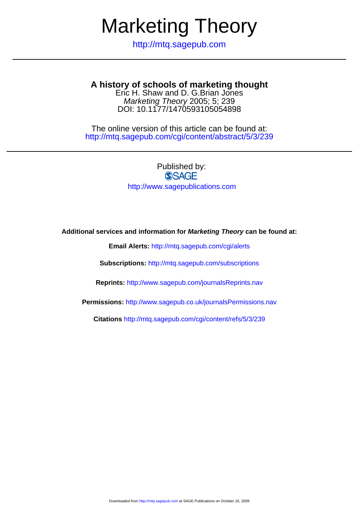# Marketing Theory

http://mtq.sagepub.com

### **A history of schools of marketing thought**

DOI: 10.1177/1470593105054898 Marketing Theory 2005; 5; 239 Eric H. Shaw and D. G.Brian Jones

http://mtq.sagepub.com/cgi/content/abstract/5/3/239 The online version of this article can be found at:

> Published by:<br>
> SAGE http://www.sagepublications.com

**Additional services and information for Marketing Theory can be found at:**

**Email Alerts:** <http://mtq.sagepub.com/cgi/alerts>

**Subscriptions:** <http://mtq.sagepub.com/subscriptions>

**Reprints:** <http://www.sagepub.com/journalsReprints.nav>

**Permissions:** <http://www.sagepub.co.uk/journalsPermissions.nav>

**Citations** <http://mtq.sagepub.com/cgi/content/refs/5/3/239>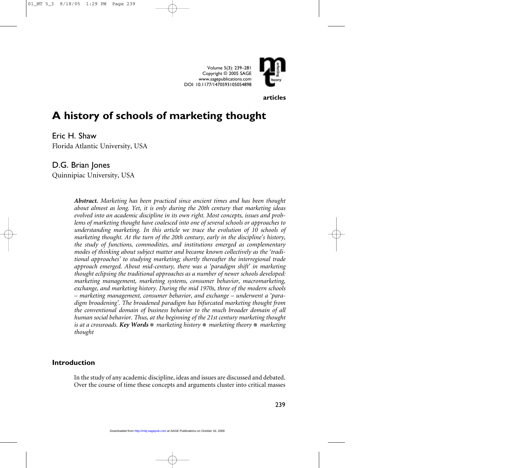

**articles**

# **A history of schools of marketing thought**

Eric H. Shaw

Florida Atlantic University, USA

## D.G. Brian Jones

Quinnipiac University, USA

*Abstract. Marketing has been practiced since ancient times and has been thought about almost as long. Yet, it is only during the 20th century that marketing ideas evolved into an academic discipline in its own right. Most concepts, issues and problems of marketing thought have coalesced into one of several schools or approaches to understanding marketing. In this article we trace the evolution of 10 schools of marketing thought. At the turn of the 20th century, early in the discipline's history, the study of functions, commodities, and institutions emerged as complementary modes of thinking about subject matter and became known collectively as the 'traditional approaches' to studying marketing; shortly thereafter the interregional trade approach emerged. About mid-century, there was a 'paradigm shift' in marketing thought eclipsing the traditional approaches as a number of newer schools developed: marketing management, marketing systems, consumer behavior, macromarketing, exchange, and marketing history. During the mid 1970s, three of the modern schools – marketing management, consumer behavior, and exchange – underwent a 'paradigm broadening'. The broadened paradigm has bifurcated marketing thought from the conventional domain of business behavior to the much broader domain of all human social behavior. Thus, at the beginning of the 21st century marketing thought is at a crossroads. Key Words* • *marketing history* • *marketing theory* • *marketing thought* 

### **Introduction**

In the study of any academic discipline, ideas and issues are discussed and debated. Over the course of time these concepts and arguments cluster into critical masses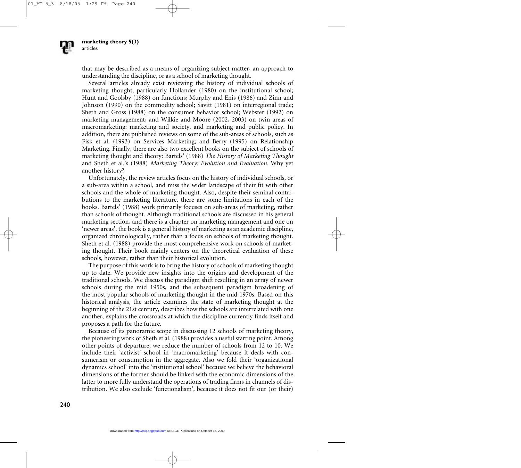

that may be described as a means of organizing subject matter, an approach to understanding the discipline, or as a school of marketing thought.

Several articles already exist reviewing the history of individual schools of marketing thought, particularly Hollander (1980) on the institutional school; Hunt and Goolsby (1988) on functions; Murphy and Enis (1986) and Zinn and Johnson (1990) on the commodity school; Savitt (1981) on interregional trade; Sheth and Gross (1988) on the consumer behavior school; Webster (1992) on marketing management; and Wilkie and Moore (2002, 2003) on twin areas of macromarketing: marketing and society, and marketing and public policy. In addition, there are published reviews on some of the sub-areas of schools, such as Fisk et al. (1993) on Services Marketing; and Berry (1995) on Relationship Marketing. Finally, there are also two excellent books on the subject of schools of marketing thought and theory: Bartels' (1988) *The History of Marketing Thought* and Sheth et al.'s (1988) *Marketing Theory: Evolution and Evaluation.* Why yet another history?

Unfortunately, the review articles focus on the history of individual schools, or a sub-area within a school, and miss the wider landscape of their fit with other schools and the whole of marketing thought. Also, despite their seminal contributions to the marketing literature, there are some limitations in each of the books. Bartels' (1988) work primarily focuses on sub-areas of marketing, rather than schools of thought. Although traditional schools are discussed in his general marketing section, and there is a chapter on marketing management and one on 'newer areas', the book is a general history of marketing as an academic discipline, organized chronologically, rather than a focus on schools of marketing thought. Sheth et al. (1988) provide the most comprehensive work on schools of marketing thought. Their book mainly centers on the theoretical evaluation of these schools, however, rather than their historical evolution.

The purpose of this work is to bring the history of schools of marketing thought up to date. We provide new insights into the origins and development of the traditional schools. We discuss the paradigm shift resulting in an array of newer schools during the mid 1950s, and the subsequent paradigm broadening of the most popular schools of marketing thought in the mid 1970s. Based on this historical analysis, the article examines the state of marketing thought at the beginning of the 21st century, describes how the schools are interrelated with one another, explains the crossroads at which the discipline currently finds itself and proposes a path for the future.

Because of its panoramic scope in discussing 12 schools of marketing theory, the pioneering work of Sheth et al. (1988) provides a useful starting point. Among other points of departure, we reduce the number of schools from 12 to 10. We include their 'activist' school in 'macromarketing' because it deals with consumerism or consumption in the aggregate. Also we fold their 'organizational dynamics school' into the 'institutional school' because we believe the behavioral dimensions of the former should be linked with the economic dimensions of the latter to more fully understand the operations of trading firms in channels of distribution. We also exclude 'functionalism', because it does not fit our (or their)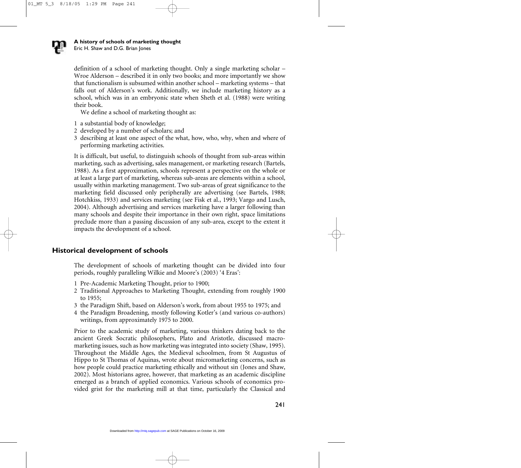

definition of a school of marketing thought. Only a single marketing scholar – Wroe Alderson – described it in only two books; and more importantly we show that functionalism is subsumed within another school – marketing systems – that falls out of Alderson's work. Additionally, we include marketing history as a school, which was in an embryonic state when Sheth et al. (1988) were writing their book.

We define a school of marketing thought as:

- 1 a substantial body of knowledge;
- 2 developed by a number of scholars; and
- 3 describing at least one aspect of the what, how, who, why, when and where of performing marketing activities.

It is difficult, but useful, to distinguish schools of thought from sub-areas within marketing, such as advertising, sales management, or marketing research (Bartels, 1988). As a first approximation, schools represent a perspective on the whole or at least a large part of marketing, whereas sub-areas are elements within a school, usually within marketing management. Two sub-areas of great significance to the marketing field discussed only peripherally are advertising (see Bartels, 1988; Hotchkiss, 1933) and services marketing (see Fisk et al., 1993; Vargo and Lusch, 2004). Although advertising and services marketing have a larger following than many schools and despite their importance in their own right, space limitations preclude more than a passing discussion of any sub-area, except to the extent it impacts the development of a school.

#### **Historical development of schools**

The development of schools of marketing thought can be divided into four periods, roughly paralleling Wilkie and Moore's (2003) '4 Eras':

- 1 Pre-Academic Marketing Thought, prior to 1900;
- 2 Traditional Approaches to Marketing Thought, extending from roughly 1900 to 1955;
- 3 the Paradigm Shift, based on Alderson's work, from about 1955 to 1975; and
- 4 the Paradigm Broadening, mostly following Kotler's (and various co-authors) writings, from approximately 1975 to 2000.

Prior to the academic study of marketing, various thinkers dating back to the ancient Greek Socratic philosophers, Plato and Aristotle, discussed macromarketing issues, such as how marketing was integrated into society (Shaw, 1995). Throughout the Middle Ages, the Medieval schoolmen, from St Augustus of Hippo to St Thomas of Aquinas, wrote about micromarketing concerns, such as how people could practice marketing ethically and without sin (Jones and Shaw, 2002). Most historians agree, however, that marketing as an academic discipline emerged as a branch of applied economics. Various schools of economics provided grist for the marketing mill at that time, particularly the Classical and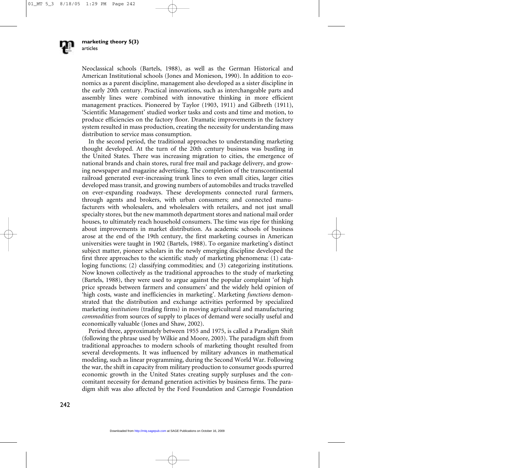Neoclassical schools (Bartels, 1988), as well as the German Historical and American Institutional schools (Jones and Monieson, 1990). In addition to economics as a parent discipline, management also developed as a sister discipline in the early 20th century. Practical innovations, such as interchangeable parts and assembly lines were combined with innovative thinking in more efficient management practices. Pioneered by Taylor (1903, 1911) and Gilbreth (1911), 'Scientific Management' studied worker tasks and costs and time and motion, to produce efficiencies on the factory floor. Dramatic improvements in the factory system resulted in mass production, creating the necessity for understanding mass distribution to service mass consumption.

In the second period, the traditional approaches to understanding marketing thought developed. At the turn of the 20th century business was bustling in the United States. There was increasing migration to cities, the emergence of national brands and chain stores, rural free mail and package delivery, and growing newspaper and magazine advertising. The completion of the transcontinental railroad generated ever-increasing trunk lines to even small cities, larger cities developed mass transit, and growing numbers of automobiles and trucks travelled on ever-expanding roadways. These developments connected rural farmers, through agents and brokers, with urban consumers; and connected manufacturers with wholesalers, and wholesalers with retailers, and not just small specialty stores, but the new mammoth department stores and national mail order houses, to ultimately reach household consumers. The time was ripe for thinking about improvements in market distribution. As academic schools of business arose at the end of the 19th century, the first marketing courses in American universities were taught in 1902 (Bartels, 1988). To organize marketing's distinct subject matter, pioneer scholars in the newly emerging discipline developed the first three approaches to the scientific study of marketing phenomena: (1) cataloging functions; (2) classifying commodities; and (3) categorizing institutions. Now known collectively as the traditional approaches to the study of marketing (Bartels, 1988), they were used to argue against the popular complaint 'of high price spreads between farmers and consumers' and the widely held opinion of 'high costs, waste and inefficiencies in marketing'. Marketing *functions* demonstrated that the distribution and exchange activities performed by specialized marketing *institutions* (trading firms) in moving agricultural and manufacturing *commodities* from sources of supply to places of demand were socially useful and economically valuable (Jones and Shaw, 2002).

Period three, approximately between 1955 and 1975, is called a Paradigm Shift (following the phrase used by Wilkie and Moore, 2003). The paradigm shift from traditional approaches to modern schools of marketing thought resulted from several developments. It was influenced by military advances in mathematical modeling, such as linear programming, during the Second World War. Following the war, the shift in capacity from military production to consumer goods spurred economic growth in the United States creating supply surpluses and the concomitant necessity for demand generation activities by business firms. The paradigm shift was also affected by the Ford Foundation and Carnegie Foundation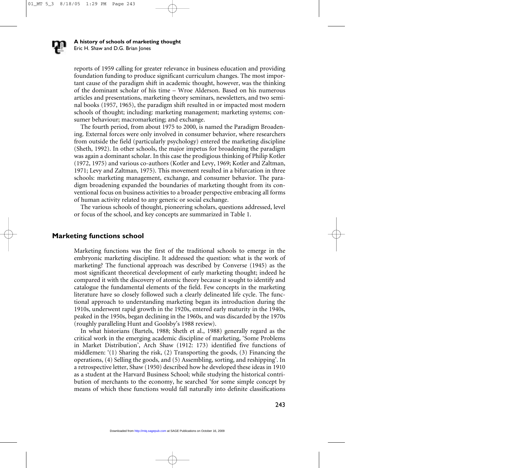reports of 1959 calling for greater relevance in business education and providing foundation funding to produce significant curriculum changes. The most important cause of the paradigm shift in academic thought, however, was the thinking of the dominant scholar of his time – Wroe Alderson. Based on his numerous articles and presentations, marketing theory seminars, newsletters, and two seminal books (1957, 1965), the paradigm shift resulted in or impacted most modern schools of thought; including: marketing management; marketing systems; consumer behaviour; macromarketing; and exchange.

The fourth period, from about 1975 to 2000, is named the Paradigm Broadening. External forces were only involved in consumer behavior, where researchers from outside the field (particularly psychology) entered the marketing discipline (Sheth, 1992). In other schools, the major impetus for broadening the paradigm was again a dominant scholar. In this case the prodigious thinking of Philip Kotler (1972, 1975) and various co-authors (Kotler and Levy, 1969; Kotler and Zaltman, 1971; Levy and Zaltman, 1975). This movement resulted in a bifurcation in three schools: marketing management, exchange, and consumer behavior. The paradigm broadening expanded the boundaries of marketing thought from its conventional focus on business activities to a broader perspective embracing all forms of human activity related to any generic or social exchange.

The various schools of thought, pioneering scholars, questions addressed, level or focus of the school, and key concepts are summarized in Table 1.

### **Marketing functions school**

Marketing functions was the first of the traditional schools to emerge in the embryonic marketing discipline. It addressed the question: what is the work of marketing? The functional approach was described by Converse (1945) as the most significant theoretical development of early marketing thought; indeed he compared it with the discovery of atomic theory because it sought to identify and catalogue the fundamental elements of the field. Few concepts in the marketing literature have so closely followed such a clearly delineated life cycle. The functional approach to understanding marketing began its introduction during the 1910s, underwent rapid growth in the 1920s, entered early maturity in the 1940s, peaked in the 1950s, began declining in the 1960s, and was discarded by the 1970s (roughly paralleling Hunt and Goolsby's 1988 review).

In what historians (Bartels, 1988; Sheth et al., 1988) generally regard as the critical work in the emerging academic discipline of marketing, 'Some Problems in Market Distribution', Arch Shaw (1912: 173) identified five functions of middlemen: '(1) Sharing the risk, (2) Transporting the goods, (3) Financing the operations, (4) Selling the goods, and (5) Assembling, sorting, and reshipping'. In a retrospective letter, Shaw (1950) described how he developed these ideas in 1910 as a student at the Harvard Business School; while studying the historical contribution of merchants to the economy, he searched 'for some simple concept by means of which these functions would fall naturally into definite classifications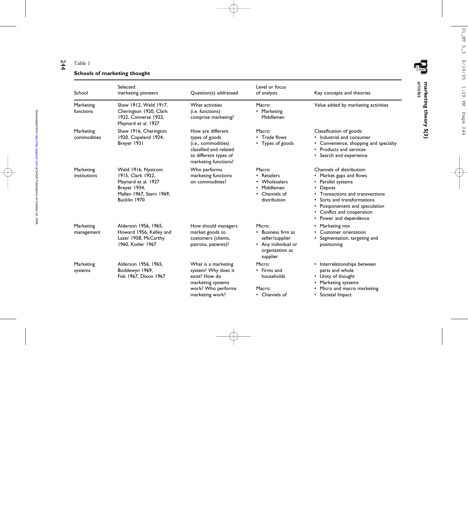# $\overrightarrow{2}$  Table 1

# **Schools of marketing thought**

| School                    | Selected<br>marketing pioneers                                                                                             | Question(s) addressed                                                                                                                 | Level or focus<br>of analysis                                                                         | Key concepts and theories                                                                                                                                                                                                                           |
|---------------------------|----------------------------------------------------------------------------------------------------------------------------|---------------------------------------------------------------------------------------------------------------------------------------|-------------------------------------------------------------------------------------------------------|-----------------------------------------------------------------------------------------------------------------------------------------------------------------------------------------------------------------------------------------------------|
| Marketing<br>functions    | Shaw 1912, Weld 1917,<br>Cherington 1920, Clark<br>1922, Converse 1922,<br>Maynard et al. 1927                             | What activities<br>(i.e. functions)<br>comprise marketing?                                                                            | Macro:<br>• Marketing<br>Middlemen                                                                    | Value added by marketing activities                                                                                                                                                                                                                 |
| Marketing<br>commodities  | Shaw 1916, Cherington<br>1920, Copeland 1924,<br>Breyer 1931                                                               | How are different<br>types of goods<br>(i.e., commodities)<br>classified and related<br>to different types of<br>marketing functions? | Macro:<br>• Trade flows<br>• Types of goods                                                           | Classification of goods:<br>• Industrial and consumer<br>• Convenience, shopping and specialty<br>• Products and services<br>• Search and experience                                                                                                |
| Marketing<br>institutions | Weld 1916, Nystrom<br>1915, Clark 1922,<br>Maynard et al. 1927<br>Breyer 1934,<br>Mallen 1967, Stern 1969,<br>Bucklin 1970 | Who performs<br>marketing functions<br>on commodities?                                                                                | Macro:<br>• Retailers<br>• Wholesalers<br>Middlemen<br>$\bullet$<br>• Channels of<br>distribution     | Channels of distribution:<br>• Market gaps and flows<br>• Parallel systems<br>• Depots<br>• Transactions and transvections<br>• Sorts and transformations<br>• Postponement and speculation<br>• Conflict and cooperation<br>• Power and dependence |
| Marketing<br>management   | Alderson 1956, 1965,<br>Howard 1956, Kelley and<br>Lazer 1958, McCarthy<br>1960, Kotler 1967                               | How should managers<br>market goods to<br>customers (clients,<br>patrons, patients)?                                                  | Micro:<br>• Business firm as<br>seller/supplier<br>• Any individual or<br>organization as<br>supplier | • Marketing mix<br>• Customer orientation<br>• Segmentation, targeting and<br>positioning                                                                                                                                                           |
| Marketing<br>systems      | Alderson 1956, 1965,<br>Boddewyn 1969,<br>Fisk 1967, Dixon 1967                                                            | What is a marketing<br>system? Why does it<br>exist? How do<br>marketing systems<br>work? Who performs<br>marketing work?             | Micro:<br>• Firms and<br>households<br>Macro:<br>• Channels of                                        | • Interrelationships between<br>parts and whole<br>• Unity of thought<br>• Marketing systems<br>• Micro and macro marketing<br>• Societal Impact                                                                                                    |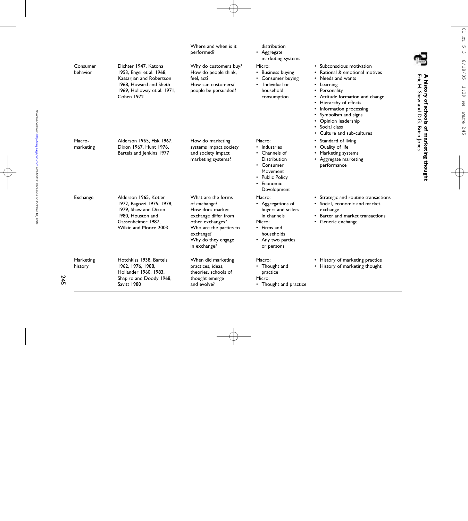|                      |                                                                                                                                                     | Where and when is it<br>performed?                                                                                                                                             | distribution<br>• Aggregate<br>marketing systems                                                                                           |                                                                                                                                                                                                                                                                                                         |                                                                                |
|----------------------|-----------------------------------------------------------------------------------------------------------------------------------------------------|--------------------------------------------------------------------------------------------------------------------------------------------------------------------------------|--------------------------------------------------------------------------------------------------------------------------------------------|---------------------------------------------------------------------------------------------------------------------------------------------------------------------------------------------------------------------------------------------------------------------------------------------------------|--------------------------------------------------------------------------------|
| Consumer<br>behavior | Dichter 1947, Katona<br>1953, Engel et al. 1968,<br>Kassarjian and Robertson<br>1968, Howard and Sheth<br>1969, Holloway et al. 1971,<br>Cohen 1972 | Why do customers buy?<br>How do people think,<br>feel, act?<br>How can customers/<br>people be persuaded?                                                                      | Micro:<br>• Business buying<br>• Consumer buying<br>Individual or<br>household<br>consumption                                              | • Subconscious motivation<br>• Rational & emotional motives<br>• Needs and wants<br>• Learning<br>• Personality<br>• Attitude formation and change<br>• Hierarchy of effects<br>• Information processing<br>• Symbolism and signs<br>• Opinion leadership<br>• Social class<br>Culture and sub-cultures | A history of schools of marketing thought<br>Eric H. Shaw and D.G. Brian Jones |
| Macro-<br>marketing  | Alderson 1965, Fisk 1967,<br>Dixon 1967, Hunt 1976,<br>Bartels and Jenkins 1977                                                                     | How do marketing<br>systems impact society<br>and society impact<br>marketing systems?                                                                                         | Macro:<br>• Industries<br>• Channels of<br><b>Distribution</b><br>• Consumer<br>Movement<br>• Public Policy<br>• Economic<br>Development   | • Standard of living<br>• Quality of life<br>• Marketing systems<br>• Aggregate marketing<br>performance                                                                                                                                                                                                |                                                                                |
| Exchange             | Alderson 1965, Kotler<br>1972, Bagozzi 1975, 1978,<br>1979, Shaw and Dixon<br>1980. Houston and<br>Gassenheimer 1987.<br>Wilkie and Moore 2003      | What are the forms<br>of exchange?<br>How does market<br>exchange differ from<br>other exchanges?<br>Who are the parties to<br>exchange?<br>Why do they engage<br>in exchange? | Macro:<br>• Aggregations of<br>buyers and sellers<br>in channels<br>Micro:<br>• Firms and<br>households<br>• Any two parties<br>or persons | • Strategic and routine transactions<br>• Social, economic and market<br>exchange<br>• Barter and market transactions<br>• Generic exchange                                                                                                                                                             |                                                                                |
| Marketing<br>history | Hotchkiss 1938, Bartels<br>1962, 1976, 1988,<br>Hollander 1960, 1983,<br>Shapiro and Doody 1968,<br>Savitt 1980                                     | When did marketing<br>practices, ideas,<br>theories, schools of<br>thought emerge<br>and evolve?                                                                               | Macro:<br>• Thought and<br>practice<br>Micro:<br>• Thought and practice                                                                    | • History of marketing practice<br>• History of marketing thought                                                                                                                                                                                                                                       |                                                                                |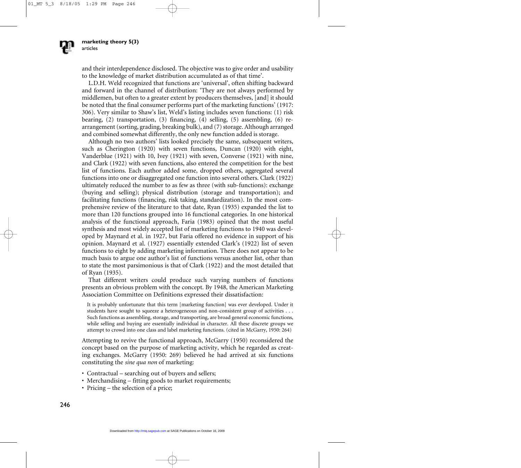

and their interdependence disclosed. The objective was to give order and usability to the knowledge of market distribution accumulated as of that time'.

L.D.H. Weld recognized that functions are 'universal', often shifting backward and forward in the channel of distribution: 'They are not always performed by middlemen, but often to a greater extent by producers themselves, [and] it should be noted that the final consumer performs part of the marketing functions' (1917: 306). Very similar to Shaw's list, Weld's listing includes seven functions: (1) risk bearing, (2) transportation, (3) financing, (4) selling, (5) assembling, (6) rearrangement (sorting, grading, breaking bulk), and (7) storage. Although arranged and combined somewhat differently, the only new function added is storage.

Although no two authors' lists looked precisely the same, subsequent writers, such as Cherington (1920) with seven functions, Duncan (1920) with eight, Vanderblue (1921) with 10, Ivey (1921) with seven, Converse (1921) with nine, and Clark (1922) with seven functions, also entered the competition for the best list of functions. Each author added some, dropped others, aggregated several functions into one or disaggregated one function into several others. Clark (1922) ultimately reduced the number to as few as three (with sub-functions): exchange (buying and selling); physical distribution (storage and transportation); and facilitating functions (financing, risk taking, standardization). In the most comprehensive review of the literature to that date, Ryan (1935) expanded the list to more than 120 functions grouped into 16 functional categories. In one historical analysis of the functional approach, Faria (1983) opined that the most useful synthesis and most widely accepted list of marketing functions to 1940 was developed by Maynard et al. in 1927, but Faria offered no evidence in support of his opinion. Maynard et al. (1927) essentially extended Clark's (1922) list of seven functions to eight by adding marketing information. There does not appear to be much basis to argue one author's list of functions versus another list, other than to state the most parsimonious is that of Clark (1922) and the most detailed that of Ryan (1935).

That different writers could produce such varying numbers of functions presents an obvious problem with the concept. By 1948, the American Marketing Association Committee on Definitions expressed their dissatisfaction:

It is probably unfortunate that this term [marketing function] was ever developed. Under it students have sought to squeeze a heterogeneous and non-consistent group of activities . . . Such functions as assembling, storage, and transporting, are broad general economic functions, while selling and buying are essentially individual in character. All these discrete groups we attempt to crowd into one class and label marketing functions. (cited in McGarry, 1950: 264)

Attempting to revive the functional approach, McGarry (1950) reconsidered the concept based on the purpose of marketing activity, which he regarded as creating exchanges. McGarry (1950: 269) believed he had arrived at six functions constituting the *sine qua non* of marketing:

- Contractual searching out of buyers and sellers;
- Merchandising fitting goods to market requirements;
- Pricing the selection of a price;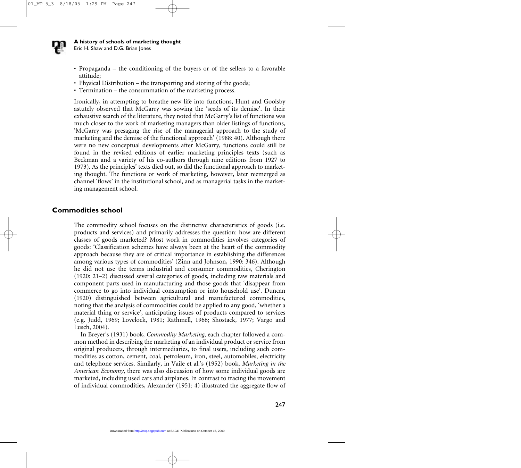

- Propaganda the conditioning of the buyers or of the sellers to a favorable attitude;
- Physical Distribution the transporting and storing of the goods;
- Termination the consummation of the marketing process.

Ironically, in attempting to breathe new life into functions, Hunt and Goolsby astutely observed that McGarry was sowing the 'seeds of its demise'. In their exhaustive search of the literature, they noted that McGarry's list of functions was much closer to the work of marketing managers than older listings of functions, 'McGarry was presaging the rise of the managerial approach to the study of marketing and the demise of the functional approach' (1988: 40). Although there were no new conceptual developments after McGarry, functions could still be found in the revised editions of earlier marketing principles texts (such as Beckman and a variety of his co-authors through nine editions from 1927 to 1973). As the principles' texts died out, so did the functional approach to marketing thought. The functions or work of marketing, however, later reemerged as channel 'flows' in the institutional school, and as managerial tasks in the marketing management school.

#### **Commodities school**

The commodity school focuses on the distinctive characteristics of goods (i.e. products and services) and primarily addresses the question: how are different classes of goods marketed? Most work in commodities involves categories of goods: 'Classification schemes have always been at the heart of the commodity approach because they are of critical importance in establishing the differences among various types of commodities' (Zinn and Johnson, 1990: 346). Although he did not use the terms industrial and consumer commodities, Cherington (1920: 21–2) discussed several categories of goods, including raw materials and component parts used in manufacturing and those goods that 'disappear from commerce to go into individual consumption or into household use'. Duncan (1920) distinguished between agricultural and manufactured commodities, noting that the analysis of commodities could be applied to any good, 'whether a material thing or service', anticipating issues of products compared to services (e.g. Judd, 1969; Lovelock, 1981; Rathmell, 1966; Shostack, 1977; Vargo and Lusch, 2004).

In Breyer's (1931) book, *Commodity Marketing*, each chapter followed a common method in describing the marketing of an individual product or service from original producers, through intermediaries, to final users, including such commodities as cotton, cement, coal, petroleum, iron, steel, automobiles, electricity and telephone services. Similarly, in Vaile et al.'s (1952) book, *Marketing in the American Economy*, there was also discussion of how some individual goods are marketed, including used cars and airplanes. In contrast to tracing the movement of individual commodities, Alexander (1951: 4) illustrated the aggregate flow of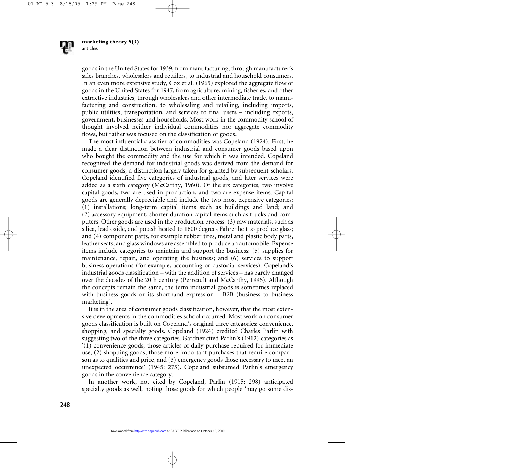

goods in the United States for 1939, from manufacturing, through manufacturer's sales branches, wholesalers and retailers, to industrial and household consumers. In an even more extensive study, Cox et al. (1965) explored the aggregate flow of goods in the United States for 1947, from agriculture, mining, fisheries, and other extractive industries, through wholesalers and other intermediate trade, to manufacturing and construction, to wholesaling and retailing, including imports, public utilities, transportation, and services to final users – including exports, government, businesses and households. Most work in the commodity school of thought involved neither individual commodities nor aggregate commodity flows, but rather was focused on the classification of goods.

The most influential classifier of commodities was Copeland (1924). First, he made a clear distinction between industrial and consumer goods based upon who bought the commodity and the use for which it was intended. Copeland recognized the demand for industrial goods was derived from the demand for consumer goods, a distinction largely taken for granted by subsequent scholars. Copeland identified five categories of industrial goods, and later services were added as a sixth category (McCarthy, 1960). Of the six categories, two involve capital goods, two are used in production, and two are expense items. Capital goods are generally depreciable and include the two most expensive categories: (1) installations; long-term capital items such as buildings and land; and (2) accessory equipment; shorter duration capital items such as trucks and computers. Other goods are used in the production process: (3) raw materials, such as silica, lead oxide, and potash heated to 1600 degrees Fahrenheit to produce glass; and (4) component parts, for example rubber tires, metal and plastic body parts, leather seats, and glass windows are assembled to produce an automobile. Expense items include categories to maintain and support the business: (5) supplies for maintenance, repair, and operating the business; and (6) services to support business operations (for example, accounting or custodial services). Copeland's industrial goods classification – with the addition of services – has barely changed over the decades of the 20th century (Perreault and McCarthy, 1996). Although the concepts remain the same, the term industrial goods is sometimes replaced with business goods or its shorthand expression – B2B (business to business marketing).

It is in the area of consumer goods classification, however, that the most extensive developments in the commodities school occurred. Most work on consumer goods classification is built on Copeland's original three categories: convenience, shopping, and specialty goods. Copeland (1924) credited Charles Parlin with suggesting two of the three categories. Gardner cited Parlin's (1912) categories as '(1) convenience goods, those articles of daily purchase required for immediate use, (2) shopping goods, those more important purchases that require comparison as to qualities and price, and (3) emergency goods those necessary to meet an unexpected occurrence' (1945: 275). Copeland subsumed Parlin's emergency goods in the convenience category.

In another work, not cited by Copeland, Parlin (1915: 298) anticipated specialty goods as well, noting those goods for which people 'may go some dis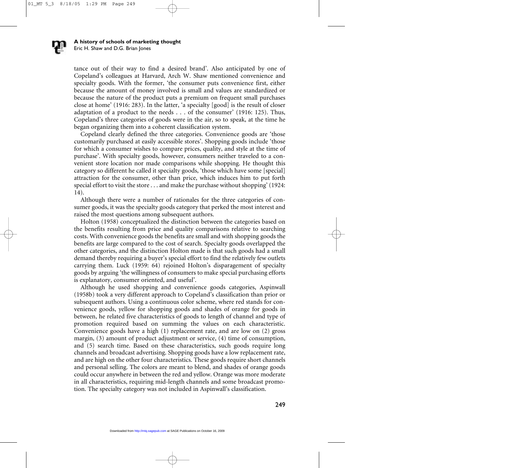tance out of their way to find a desired brand'. Also anticipated by one of Copeland's colleagues at Harvard, Arch W. Shaw mentioned convenience and specialty goods. With the former, 'the consumer puts convenience first, either because the amount of money involved is small and values are standardized or because the nature of the product puts a premium on frequent small purchases close at home' (1916: 283). In the latter, 'a specialty [good] is the result of closer adaptation of a product to the needs . . . of the consumer' (1916: 125). Thus, Copeland's three categories of goods were in the air, so to speak, at the time he began organizing them into a coherent classification system.

Copeland clearly defined the three categories. Convenience goods are 'those customarily purchased at easily accessible stores'. Shopping goods include 'those for which a consumer wishes to compare prices, quality, and style at the time of purchase'. With specialty goods, however, consumers neither traveled to a convenient store location nor made comparisons while shopping. He thought this category so different he called it specialty goods, 'those which have some [special] attraction for the consumer, other than price, which induces him to put forth special effort to visit the store . . . and make the purchase without shopping' (1924: 14).

Although there were a number of rationales for the three categories of consumer goods, it was the specialty goods category that perked the most interest and raised the most questions among subsequent authors.

Holton (1958) conceptualized the distinction between the categories based on the benefits resulting from price and quality comparisons relative to searching costs. With convenience goods the benefits are small and with shopping goods the benefits are large compared to the cost of search. Specialty goods overlapped the other categories, and the distinction Holton made is that such goods had a small demand thereby requiring a buyer's special effort to find the relatively few outlets carrying them. Luck (1959: 64) rejoined Holton's disparagement of specialty goods by arguing 'the willingness of consumers to make special purchasing efforts is explanatory, consumer oriented, and useful'.

Although he used shopping and convenience goods categories, Aspinwall (1958b) took a very different approach to Copeland's classification than prior or subsequent authors. Using a continuous color scheme, where red stands for convenience goods, yellow for shopping goods and shades of orange for goods in between, he related five characteristics of goods to length of channel and type of promotion required based on summing the values on each characteristic. Convenience goods have a high (1) replacement rate, and are low on (2) gross margin, (3) amount of product adjustment or service, (4) time of consumption, and (5) search time. Based on these characteristics, such goods require long channels and broadcast advertising. Shopping goods have a low replacement rate, and are high on the other four characteristics. These goods require short channels and personal selling. The colors are meant to blend, and shades of orange goods could occur anywhere in between the red and yellow. Orange was more moderate in all characteristics, requiring mid-length channels and some broadcast promotion. The specialty category was not included in Aspinwall's classification.

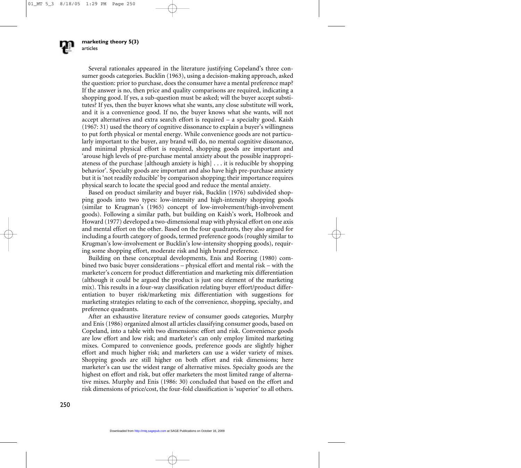Several rationales appeared in the literature justifying Copeland's three consumer goods categories. Bucklin (1963), using a decision-making approach, asked the question: prior to purchase, does the consumer have a mental preference map? If the answer is no, then price and quality comparisons are required, indicating a shopping good. If yes, a sub-question must be asked; will the buyer accept substitutes? If yes, then the buyer knows what she wants, any close substitute will work, and it is a convenience good. If no, the buyer knows what she wants, will not accept alternatives and extra search effort is required – a specialty good. Kaish (1967: 31) used the theory of cognitive dissonance to explain a buyer's willingness to put forth physical or mental energy. While convenience goods are not particularly important to the buyer, any brand will do, no mental cognitive dissonance, and minimal physical effort is required, shopping goods are important and 'arouse high levels of pre-purchase mental anxiety about the possible inappropriateness of the purchase [although anxiety is high] . . . it is reducible by shopping behavior'. Specialty goods are important and also have high pre-purchase anxiety but it is 'not readily reducible' by comparison shopping; their importance requires physical search to locate the special good and reduce the mental anxiety.

Based on product similarity and buyer risk, Bucklin (1976) subdivided shopping goods into two types: low-intensity and high-intensity shopping goods (similar to Krugman's (1965) concept of low-involvement/high-involvement goods). Following a similar path, but building on Kaish's work, Holbrook and Howard (1977) developed a two-dimensional map with physical effort on one axis and mental effort on the other. Based on the four quadrants, they also argued for including a fourth category of goods, termed preference goods (roughly similar to Krugman's low-involvement or Bucklin's low-intensity shopping goods), requiring some shopping effort, moderate risk and high brand preference.

Building on these conceptual developments, Enis and Roering (1980) combined two basic buyer considerations – physical effort and mental risk – with the marketer's concern for product differentiation and marketing mix differentiation (although it could be argued the product is just one element of the marketing mix). This results in a four-way classification relating buyer effort/product differentiation to buyer risk/marketing mix differentiation with suggestions for marketing strategies relating to each of the convenience, shopping, specialty, and preference quadrants.

After an exhaustive literature review of consumer goods categories, Murphy and Enis (1986) organized almost all articles classifying consumer goods, based on Copeland, into a table with two dimensions: effort and risk. Convenience goods are low effort and low risk; and marketer's can only employ limited marketing mixes. Compared to convenience goods, preference goods are slightly higher effort and much higher risk; and marketers can use a wider variety of mixes. Shopping goods are still higher on both effort and risk dimensions; here marketer's can use the widest range of alternative mixes. Specialty goods are the highest on effort and risk, but offer marketers the most limited range of alternative mixes. Murphy and Enis (1986: 30) concluded that based on the effort and risk dimensions of price/cost, the four-fold classification is 'superior' to all others.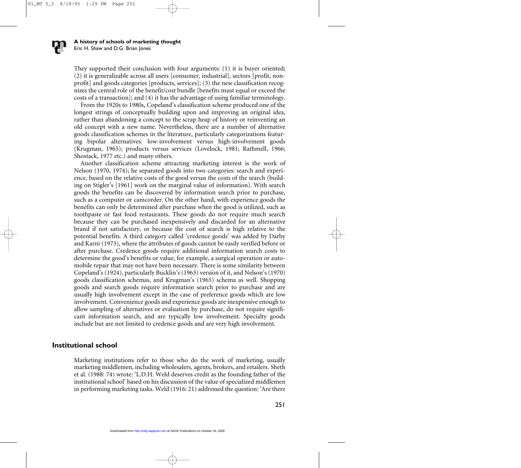

They supported their conclusion with four arguments: (1) it is buyer oriented; (2) it is generalizable across all users [consumer, industrial], sectors [profit, nonprofit] and goods categories [products, services];  $(3)$  the new classification recognizes the central role of the benefit/cost bundle [benefits must equal or exceed the costs of a transaction]; and (4) it has the advantage of using familiar terminology.

From the 1920s to 1980s, Copeland's classification scheme produced one of the longest strings of conceptually building upon and improving an original idea, rather than abandoning a concept to the scrap heap of history or reinventing an old concept with a new name. Nevertheless, there are a number of alternative goods classification schemes in the literature, particularly categorizations featuring bipolar alternatives: low-involvement versus high-involvement goods (Krugman, 1965); products versus services (Lovelock, 1981; Rathmell, 1966; Shostack, 1977 etc.) and many others.

Another classification scheme attracting marketing interest is the work of Nelson (1970, 1974); he separated goods into two categories: search and experience, based on the relative costs of the good versus the costs of the search (building on Stigler's [1961] work on the marginal value of information). With search goods the benefits can be discovered by information search prior to purchase, such as a computer or camcorder. On the other hand, with experience goods the benefits can only be determined after purchase when the good is utilized, such as toothpaste or fast food restaurants. These goods do not require much search because they can be purchased inexpensively and discarded for an alternative brand if not satisfactory, or because the cost of search is high relative to the potential benefits. A third category called 'credence goods' was added by Darby and Karni (1973), where the attributes of goods cannot be easily verified before or after purchase. Credence goods require additional information search costs to determine the good's benefits or value, for example, a surgical operation or automobile repair that may not have been necessary. There is some similarity between Copeland's (1924), particularly Bucklin's (1963) version of it, and Nelson's (1970) goods classification schemas, and Krugman's (1965) schema as well. Shopping goods and search goods require information search prior to purchase and are usually high involvement except in the case of preference goods which are low involvement. Convenience goods and experience goods are inexpensive enough to allow sampling of alternatives or evaluation by purchase, do not require significant information search, and are typically low involvement. Specialty goods include but are not limited to credence goods and are very high involvement.

#### **Institutional school**

Marketing institutions refer to those who do the work of marketing, usually marketing middlemen, including wholesalers, agents, brokers, and retailers. Sheth et al. (1988: 74) wrote: 'L.D.H. Weld deserves credit as the founding father of the institutional school' based on his discussion of the value of specialized middlemen in performing marketing tasks. Weld (1916: 21) addressed the question: 'Are there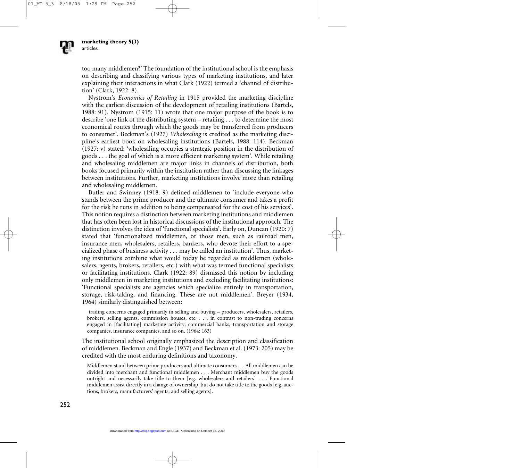

too many middlemen?' The foundation of the institutional school is the emphasis on describing and classifying various types of marketing institutions, and later explaining their interactions in what Clark (1922) termed a 'channel of distribution' (Clark, 1922: 8).

Nystrom's *Economics of Retailing* in 1915 provided the marketing discipline with the earliest discussion of the development of retailing institutions (Bartels, 1988: 91). Nystrom (1915: 11) wrote that one major purpose of the book is to describe 'one link of the distributing system – retailing . . . to determine the most economical routes through which the goods may be transferred from producers to consumer'. Beckman's (1927) *Wholesaling* is credited as the marketing discipline's earliest book on wholesaling institutions (Bartels, 1988: 114). Beckman (1927: v) stated: 'wholesaling occupies a strategic position in the distribution of goods . . . the goal of which is a more efficient marketing system'. While retailing and wholesaling middlemen are major links in channels of distribution, both books focused primarily within the institution rather than discussing the linkages between institutions. Further, marketing institutions involve more than retailing and wholesaling middlemen.

Butler and Swinney (1918: 9) defined middlemen to 'include everyone who stands between the prime producer and the ultimate consumer and takes a profit for the risk he runs in addition to being compensated for the cost of his services'. This notion requires a distinction between marketing institutions and middlemen that has often been lost in historical discussions of the institutional approach. The distinction involves the idea of 'functional specialists'. Early on, Duncan (1920: 7) stated that 'functionalized middlemen, or those men, such as railroad men, insurance men, wholesalers, retailers, bankers, who devote their effort to a specialized phase of business activity . . . may be called an institution'. Thus, marketing institutions combine what would today be regarded as middlemen (wholesalers, agents, brokers, retailers, etc.) with what was termed functional specialists or facilitating institutions. Clark (1922: 89) dismissed this notion by including only middlemen in marketing institutions and excluding facilitating institutions: 'Functional specialists are agencies which specialize entirely in transportation, storage, risk-taking, and financing. These are not middlemen'. Breyer (1934, 1964) similarly distinguished between:

trading concerns engaged primarily in selling and buying – producers, wholesalers, retailers, brokers, selling agents, commission houses, etc. . . . in contrast to non-trading concerns engaged in [facilitating] marketing activity, commercial banks, transportation and storage companies, insurance companies, and so on. (1964: 163)

The institutional school originally emphasized the description and classification of middlemen. Beckman and Engle (1937) and Beckman et al. (1973: 205) may be credited with the most enduring definitions and taxonomy.

Middlemen stand between prime producers and ultimate consumers . . . All middlemen can be divided into merchant and functional middlemen . . . Merchant middlemen buy the goods outright and necessarily take title to them [e.g. wholesalers and retailers] . . . Functional middlemen assist directly in a change of ownership, but do not take title to the goods [e.g. auctions, brokers, manufacturers' agents, and selling agents].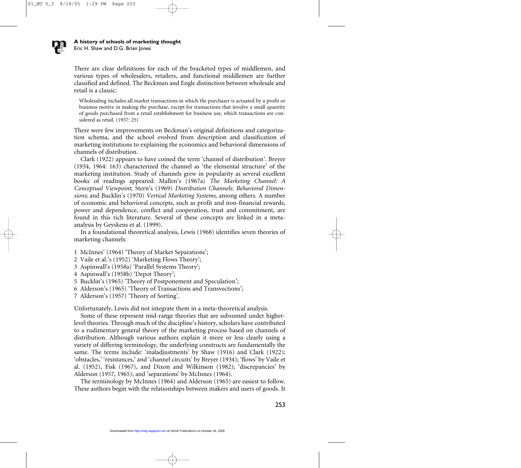

There are clear definitions for each of the bracketed types of middlemen, and various types of wholesalers, retailers, and functional middlemen are further classified and defined. The Beckman and Engle distinction between wholesale and retail is a classic:

Wholesaling includes all market transactions in which the purchaser is actuated by a profit or business motive in making the purchase, except for transactions that involve a small quantity of goods purchased from a retail establishment for business use, which transactions are considered as retail. (1937: 25)

There were few improvements on Beckman's original definitions and categorization schema, and the school evolved from description and classification of marketing institutions to explaining the economics and behavioral dimensions of channels of distribution.

Clark (1922) appears to have coined the term 'channel of distribution'. Breyer (1934, 1964: 163) characterized the channel as 'the elemental structure' of the marketing institution. Study of channels grew in popularity as several excellent books of readings appeared: Mallen's (1967a) *The Marketing Channel: A Conceptual Viewpoint*; Stern's (1969) *Distribution Channels: Behavioral Dimensions*; and Bucklin's (1970) *Vertical Marketing Systems*, among others. A number of economic and behavioral concepts, such as profit and non-financial rewards, power and dependence, conflict and cooperation, trust and commitment, are found in this rich literature. Several of these concepts are linked in a metaanalysis by Geyskens et al. (1999).

In a foundational theoretical analysis, Lewis (1968) identifies seven theories of marketing channels:

- 1 McInnes' (1964) 'Theory of Market Separations';
- 2 Vaile et al.'s (1952) 'Marketing Flows Theory';
- 3 Aspinwall's (1958a) 'Parallel Systems Theory';
- 4 Aspinwall's (1958b) 'Depot Theory';
- 5 Bucklin's (1965) 'Theory of Postponement and Speculation';
- 6 Alderson's (1965) 'Theory of Transactions and Transvections';
- 7 Alderson's (1957) 'Theory of Sorting'.

Unfortunately, Lewis did not integrate them in a meta-theoretical analysis.

Some of these represent mid-range theories that are subsumed under higherlevel theories. Through much of the discipline's history, scholars have contributed to a rudimentary general theory of the marketing process based on channels of distribution. Although various authors explain it more or less clearly using a variety of differing terminology, the underlying constructs are fundamentally the same. The terms include: 'maladjustments' by Shaw (1916) and Clark (1922); 'obstacles,' 'resistances,' and 'channel circuits' by Breyer (1934); 'flows' by Vaile et al. (1952), Fisk (1967), and Dixon and Wilkinson (1982); 'discrepancies' by Alderson (1957, 1965); and 'separations' by McInnes (1964).

The terminology by McInnes (1964) and Alderson (1965) are easiest to follow. These authors begin with the relationships between makers and users of goods. It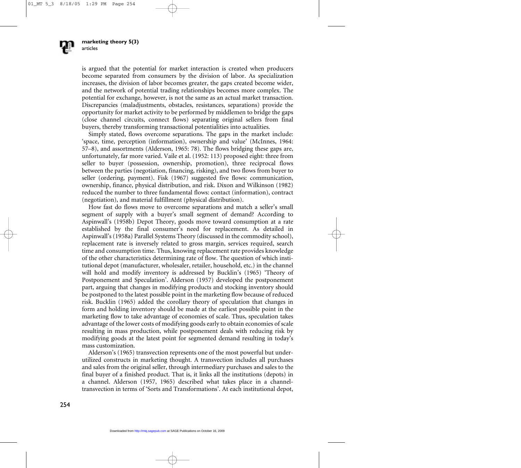

is argued that the potential for market interaction is created when producers become separated from consumers by the division of labor. As specialization increases, the division of labor becomes greater, the gaps created become wider, and the network of potential trading relationships becomes more complex. The potential for exchange, however, is not the same as an actual market transaction. Discrepancies (maladjustments, obstacles, resistances, separations) provide the opportunity for market activity to be performed by middlemen to bridge the gaps (close channel circuits, connect flows) separating original sellers from final buyers, thereby transforming transactional potentialities into actualities.

Simply stated, flows overcome separations. The gaps in the market include: 'space, time, perception (information), ownership and value' (McInnes, 1964: 57–8), and assortments (Alderson, 1965: 78). The flows bridging these gaps are, unfortunately, far more varied. Vaile et al. (1952: 113) proposed eight: three from seller to buyer (possession, ownership, promotion), three reciprocal flows between the parties (negotiation, financing, risking), and two flows from buyer to seller (ordering, payment). Fisk (1967) suggested five flows: communication, ownership, finance, physical distribution, and risk. Dixon and Wilkinson (1982) reduced the number to three fundamental flows: contact (information), contract (negotiation), and material fulfillment (physical distribution).

How fast do flows move to overcome separations and match a seller's small segment of supply with a buyer's small segment of demand? According to Aspinwall's (1958b) Depot Theory, goods move toward consumption at a rate established by the final consumer's need for replacement. As detailed in Aspinwall's (1958a) Parallel Systems Theory (discussed in the commodity school), replacement rate is inversely related to gross margin, services required, search time and consumption time. Thus, knowing replacement rate provides knowledge of the other characteristics determining rate of flow. The question of which institutional depot (manufacturer, wholesaler, retailer, household, etc.) in the channel will hold and modify inventory is addressed by Bucklin's (1965) 'Theory of Postponement and Speculation'. Alderson (1957) developed the postponement part, arguing that changes in modifying products and stocking inventory should be postponed to the latest possible point in the marketing flow because of reduced risk. Bucklin (1965) added the corollary theory of speculation that changes in form and holding inventory should be made at the earliest possible point in the marketing flow to take advantage of economies of scale. Thus, speculation takes advantage of the lower costs of modifying goods early to obtain economies of scale resulting in mass production, while postponement deals with reducing risk by modifying goods at the latest point for segmented demand resulting in today's mass customization.

Alderson's (1965) transvection represents one of the most powerful but underutilized constructs in marketing thought. A transvection includes all purchases and sales from the original seller, through intermediary purchases and sales to the final buyer of a finished product. That is, it links all the institutions (depots) in a channel. Alderson (1957, 1965) described what takes place in a channeltransvection in terms of 'Sorts and Transformations'. At each institutional depot,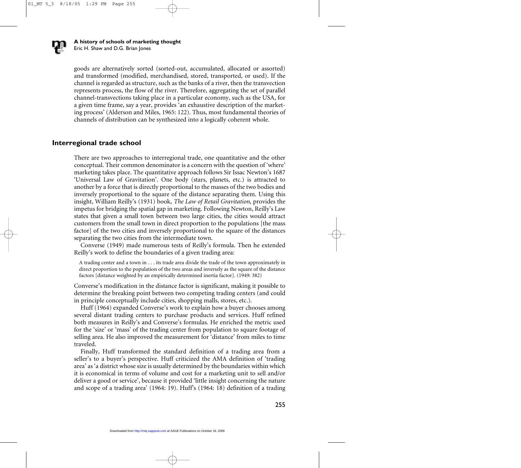

goods are alternatively sorted (sorted-out, accumulated, allocated or assorted) and transformed (modified, merchandised, stored, transported, or used). If the channel is regarded as structure, such as the banks of a river, then the transvection represents process, the flow of the river. Therefore, aggregating the set of parallel channel-transvections taking place in a particular economy, such as the USA, for a given time frame, say a year, provides 'an exhaustive description of the marketing process' (Alderson and Miles, 1965: 122). Thus, most fundamental theories of channels of distribution can be synthesized into a logically coherent whole.

#### **Interregional trade school**

There are two approaches to interregional trade, one quantitative and the other conceptual. Their common denominator is a concern with the question of 'where' marketing takes place. The quantitative approach follows Sir Issac Newton's 1687 'Universal Law of Gravitation'. One body (stars, planets, etc.) is attracted to another by a force that is directly proportional to the masses of the two bodies and inversely proportional to the square of the distance separating them. Using this insight, William Reilly's (1931) book, *The Law of Retail Gravitation*, provides the impetus for bridging the spatial gap in marketing. Following Newton, Reilly's Law states that given a small town between two large cities, the cities would attract customers from the small town in direct proportion to the populations [the mass factor] of the two cities and inversely proportional to the square of the distances separating the two cities from the intermediate town.

Converse (1949) made numerous tests of Reilly's formula. Then he extended Reilly's work to define the boundaries of a given trading area:

A trading center and a town in . . . its trade area divide the trade of the town approximately in direct proportion to the population of the two areas and inversely as the square of the distance factors [distance weighted by an empirically determined inertia factor]. (1949: 382)

Converse's modification in the distance factor is significant, making it possible to determine the breaking point between two competing trading centers (and could in principle conceptually include cities, shopping malls, stores, etc.).

Huff (1964) expanded Converse's work to explain how a buyer chooses among several distant trading centers to purchase products and services. Huff refined both measures in Reilly's and Converse's formulas. He enriched the metric used for the 'size' or 'mass' of the trading center from population to square footage of selling area. He also improved the measurement for 'distance' from miles to time traveled.

Finally, Huff transformed the standard definition of a trading area from a seller's to a buyer's perspective. Huff criticized the AMA definition of 'trading area' as 'a district whose size is usually determined by the boundaries within which it is economical in terms of volume and cost for a marketing unit to sell and/or deliver a good or service', because it provided 'little insight concerning the nature and scope of a trading area' (1964: 19). Huff's (1964: 18) definition of a trading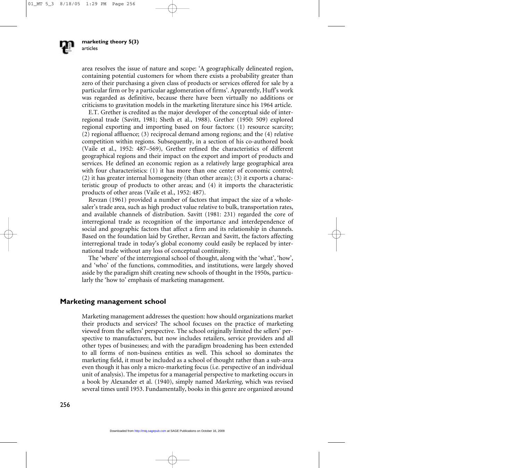area resolves the issue of nature and scope: 'A geographically delineated region, containing potential customers for whom there exists a probability greater than zero of their purchasing a given class of products or services offered for sale by a particular firm or by a particular agglomeration of firms'. Apparently, Huff's work was regarded as definitive, because there have been virtually no additions or criticisms to gravitation models in the marketing literature since his 1964 article.

E.T. Grether is credited as the major developer of the conceptual side of interregional trade (Savitt, 1981; Sheth et al., 1988). Grether (1950: 509) explored regional exporting and importing based on four factors: (1) resource scarcity; (2) regional affluence; (3) reciprocal demand among regions; and the (4) relative competition within regions. Subsequently, in a section of his co-authored book (Vaile et al., 1952: 487–569), Grether refined the characteristics of different geographical regions and their impact on the export and import of products and services. He defined an economic region as a relatively large geographical area with four characteristics: (1) it has more than one center of economic control; (2) it has greater internal homogeneity (than other areas); (3) it exports a characteristic group of products to other areas; and (4) it imports the characteristic products of other areas (Vaile et al., 1952: 487).

Revzan (1961) provided a number of factors that impact the size of a wholesaler's trade area, such as high product value relative to bulk, transportation rates, and available channels of distribution. Savitt (1981: 231) regarded the core of interregional trade as recognition of the importance and interdependence of social and geographic factors that affect a firm and its relationship in channels. Based on the foundation laid by Grether, Revzan and Savitt, the factors affecting interregional trade in today's global economy could easily be replaced by international trade without any loss of conceptual continuity.

The 'where' of the interregional school of thought, along with the 'what', 'how', and 'who' of the functions, commodities, and institutions, were largely shoved aside by the paradigm shift creating new schools of thought in the 1950s, particularly the 'how to' emphasis of marketing management.

#### **Marketing management school**

Marketing management addresses the question: how should organizations market their products and services? The school focuses on the practice of marketing viewed from the sellers' perspective. The school originally limited the sellers' perspective to manufacturers, but now includes retailers, service providers and all other types of businesses; and with the paradigm broadening has been extended to all forms of non-business entities as well. This school so dominates the marketing field, it must be included as a school of thought rather than a sub-area even though it has only a micro-marketing focus (i.e. perspective of an individual unit of analysis). The impetus for a managerial perspective to marketing occurs in a book by Alexander et al. (1940), simply named *Marketing*, which was revised several times until 1953. Fundamentally, books in this genre are organized around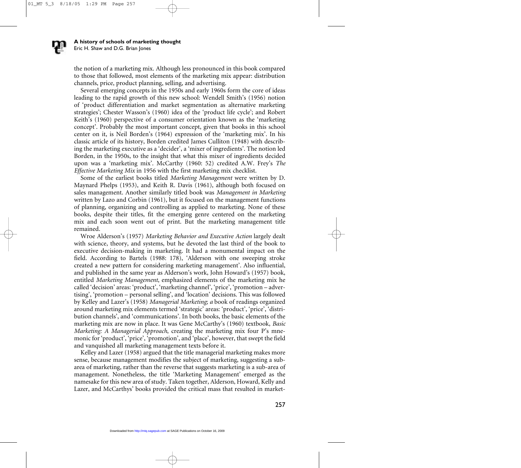

the notion of a marketing mix. Although less pronounced in this book compared to those that followed, most elements of the marketing mix appear: distribution channels, price, product planning, selling, and advertising.

Several emerging concepts in the 1950s and early 1960s form the core of ideas leading to the rapid growth of this new school: Wendell Smith's (1956) notion of 'product differentiation and market segmentation as alternative marketing strategies'; Chester Wasson's (1960) idea of the 'product life cycle'; and Robert Keith's (1960) perspective of a consumer orientation known as the 'marketing concept'. Probably the most important concept, given that books in this school center on it, is Neil Borden's (1964) expression of the 'marketing mix'. In his classic article of its history, Borden credited James Culliton (1948) with describing the marketing executive as a 'decider', a 'mixer of ingredients'. The notion led Borden, in the 1950s, to the insight that what this mixer of ingredients decided upon was a 'marketing mix'. McCarthy (1960: 52) credited A.W. Frey's *The Effective Marketing Mix* in 1956 with the first marketing mix checklist.

Some of the earliest books titled *Marketing Management* were written by D. Maynard Phelps (1953), and Keith R. Davis (1961), although both focused on sales management. Another similarly titled book was *Management in Marketing* written by Lazo and Corbin (1961), but it focused on the management functions of planning, organizing and controlling as applied to marketing. None of these books, despite their titles, fit the emerging genre centered on the marketing mix and each soon went out of print. But the marketing management title remained.

Wroe Alderson's (1957) *Marketing Behavior and Executive Action* largely dealt with science, theory, and systems, but he devoted the last third of the book to executive decision-making in marketing. It had a monumental impact on the field. According to Bartels (1988: 178), 'Alderson with one sweeping stroke created a new pattern for considering marketing management'. Also influential, and published in the same year as Alderson's work, John Howard's (1957) book, entitled *Marketing Management*, emphasized elements of the marketing mix he called 'decision' areas: 'product', 'marketing channel', 'price', 'promotion – advertising', 'promotion – personal selling', and 'location' decisions. This was followed by Kelley and Lazer's (1958) *Managerial Marketing*; *a* book of readings organized around marketing mix elements termed 'strategic' areas: 'product', 'price', 'distribution channels', and 'communications'. In both books, the basic elements of the marketing mix are now in place. It was Gene McCarthy's (1960) textbook, *Basic Marketing: A Managerial Approach*, creating the marketing mix four P's mnemonic for 'product', 'price', 'promotion', and 'place', however, that swept the field and vanquished all marketing management texts before it.

Kelley and Lazer (1958) argued that the title managerial marketing makes more sense, because management modifies the subject of marketing, suggesting a subarea of marketing, rather than the reverse that suggests marketing is a sub-area of management. Nonetheless, the title 'Marketing Management' emerged as the namesake for this new area of study. Taken together, Alderson, Howard, Kelly and Lazer, and McCarthys' books provided the critical mass that resulted in market-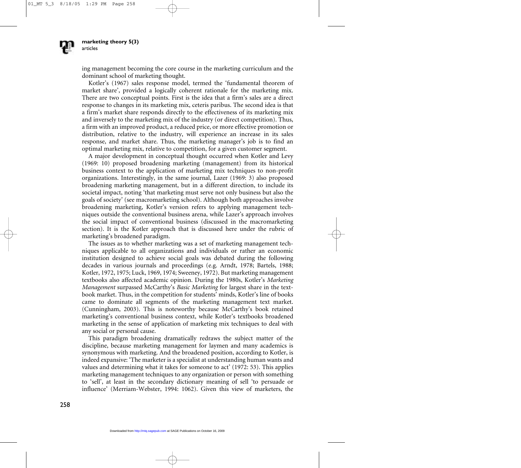

ing management becoming the core course in the marketing curriculum and the dominant school of marketing thought.

Kotler's (1967) sales response model, termed the 'fundamental theorem of market share', provided a logically coherent rationale for the marketing mix. There are two conceptual points. First is the idea that a firm's sales are a direct response to changes in its marketing mix, ceteris paribus. The second idea is that a firm's market share responds directly to the effectiveness of its marketing mix and inversely to the marketing mix of the industry (or direct competition). Thus, a firm with an improved product, a reduced price, or more effective promotion or distribution, relative to the industry, will experience an increase in its sales response, and market share. Thus, the marketing manager's job is to find an optimal marketing mix, relative to competition, for a given customer segment.

A major development in conceptual thought occurred when Kotler and Levy (1969: 10) proposed broadening marketing (management) from its historical business context to the application of marketing mix techniques to non-profit organizations. Interestingly, in the same journal, Lazer (1969: 3) also proposed broadening marketing management, but in a different direction, to include its societal impact, noting 'that marketing must serve not only business but also the goals of society' (see macromarketing school). Although both approaches involve broadening marketing, Kotler's version refers to applying management techniques outside the conventional business arena, while Lazer's approach involves the social impact of conventional business (discussed in the macromarketing section). It is the Kotler approach that is discussed here under the rubric of marketing's broadened paradigm.

The issues as to whether marketing was a set of marketing management techniques applicable to all organizations and individuals or rather an economic institution designed to achieve social goals was debated during the following decades in various journals and proceedings (e.g. Arndt, 1978; Bartels, 1988; Kotler, 1972, 1975; Luck, 1969, 1974; Sweeney, 1972). But marketing management textbooks also affected academic opinion. During the 1980s, Kotler's *Marketing Management* surpassed McCarthy's *Basic Marketing* for largest share in the textbook market. Thus, in the competition for students' minds, Kotler's line of books came to dominate all segments of the marketing management text market. (Cunningham, 2003). This is noteworthy because McCarthy's book retained marketing's conventional business context, while Kotler's textbooks broadened marketing in the sense of application of marketing mix techniques to deal with any social or personal cause.

This paradigm broadening dramatically redraws the subject matter of the discipline, because marketing management for laymen and many academics is synonymous with marketing. And the broadened position, according to Kotler, is indeed expansive: 'The marketer is a specialist at understanding human wants and values and determining what it takes for someone to act' (1972: 53). This applies marketing management techniques to any organization or person with something to 'sell', at least in the secondary dictionary meaning of sell 'to persuade or influence' (Merriam-Webster, 1994: 1062). Given this view of marketers, the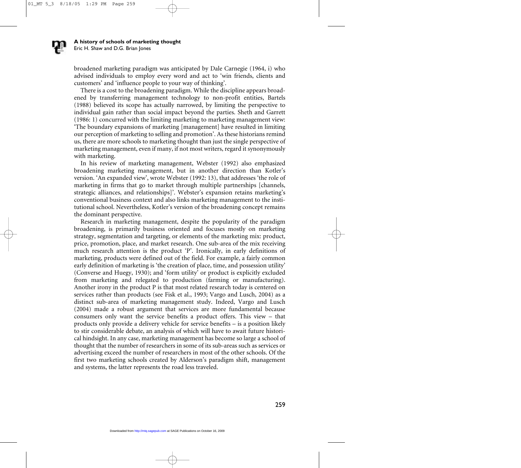

broadened marketing paradigm was anticipated by Dale Carnegie (1964, i) who advised individuals to employ every word and act to 'win friends, clients and customers' and 'influence people to your way of thinking'.

There is a cost to the broadening paradigm. While the discipline appears broadened by transferring management technology to non-profit entities, Bartels (1988) believed its scope has actually narrowed, by limiting the perspective to individual gain rather than social impact beyond the parties. Sheth and Garrett (1986: 1) concurred with the limiting marketing to marketing management view: 'The boundary expansions of marketing [management] have resulted in limiting our perception of marketing to selling and promotion'. As these historians remind us, there are more schools to marketing thought than just the single perspective of marketing management, even if many, if not most writers, regard it synonymously with marketing.

In his review of marketing management, Webster (1992) also emphasized broadening marketing management, but in another direction than Kotler's version. 'An expanded view', wrote Webster (1992: 13), that addresses 'the role of marketing in firms that go to market through multiple partnerships [channels, strategic alliances, and relationships]'. Webster's expansion retains marketing's conventional business context and also links marketing management to the institutional school. Nevertheless, Kotler's version of the broadening concept remains the dominant perspective.

Research in marketing management, despite the popularity of the paradigm broadening, is primarily business oriented and focuses mostly on marketing strategy, segmentation and targeting, or elements of the marketing mix: product, price, promotion, place, and market research. One sub-area of the mix receiving much research attention is the product 'P'. Ironically, in early definitions of marketing, products were defined out of the field. For example, a fairly common early definition of marketing is 'the creation of place, time, and possession utility' (Converse and Huegy, 1930); and 'form utility' or product is explicitly excluded from marketing and relegated to production (farming or manufacturing). Another irony in the product P is that most related research today is centered on services rather than products (see Fisk et al., 1993; Vargo and Lusch, 2004) as a distinct sub-area of marketing management study. Indeed, Vargo and Lusch (2004) made a robust argument that services are more fundamental because consumers only want the service benefits a product offers. This view – that products only provide a delivery vehicle for service benefits – is a position likely to stir considerable debate, an analysis of which will have to await future historical hindsight. In any case, marketing management has become so large a school of thought that the number of researchers in some of its sub-areas such as services or advertising exceed the number of researchers in most of the other schools. Of the first two marketing schools created by Alderson's paradigm shift, management and systems, the latter represents the road less traveled.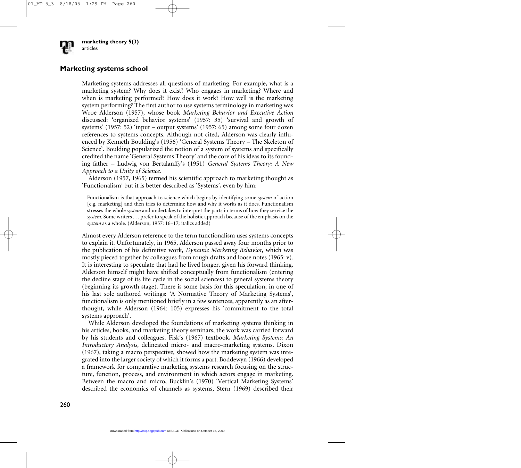

#### **Marketing systems school**

Marketing systems addresses all questions of marketing. For example, what is a marketing system? Why does it exist? Who engages in marketing? Where and when is marketing performed? How does it work? How well is the marketing system performing? The first author to use systems terminology in marketing was Wroe Alderson (1957), whose book *Marketing Behavior and Executive Action*  discussed: 'organized behavior systems' (1957: 35) 'survival and growth of systems' (1957: 52) 'input – output systems' (1957: 65) among some four dozen references to systems concepts. Although not cited, Alderson was clearly influenced by Kenneth Boulding's (1956) 'General Systems Theory – The Skeleton of Science'. Boulding popularized the notion of a system of systems and specifically credited the name 'General Systems Theory' and the core of his ideas to its founding father – Ludwig von Bertalanffy's (1951) *General Systems Theory: A New Approach to a Unity of Science*.

Alderson (1957, 1965) termed his scientific approach to marketing thought as 'Functionalism' but it is better described as 'Systems', even by him:

Functionalism is that approach to science which begins by identifying some *system* of action [e.g. marketing] and then tries to determine how and why it works as it does. Functionalism stresses the whole *system* and undertakes to interpret the parts in terms of how they service the *system*. Some writers . . . prefer to speak of the holistic approach because of the emphasis on the *system* as a whole. (Alderson, 1957: 16–17; italics added)

Almost every Alderson reference to the term functionalism uses systems concepts to explain it. Unfortunately, in 1965, Alderson passed away four months prior to the publication of his definitive work, *Dynamic Marketing Behavior*, which was mostly pieced together by colleagues from rough drafts and loose notes (1965: v). It is interesting to speculate that had he lived longer, given his forward thinking, Alderson himself might have shifted conceptually from functionalism (entering the decline stage of its life cycle in the social sciences) to general systems theory (beginning its growth stage). There is some basis for this speculation; in one of his last sole authored writings: 'A Normative Theory of Marketing Systems', functionalism is only mentioned briefly in a few sentences, apparently as an afterthought, while Alderson (1964: 105) expresses his 'commitment to the total systems approach'.

While Alderson developed the foundations of marketing systems thinking in his articles, books, and marketing theory seminars, the work was carried forward by his students and colleagues. Fisk's (1967) textbook, *Marketing Systems: An Introductory Analysis*, delineated micro- and macro-marketing systems. Dixon (1967), taking a macro perspective, showed how the marketing system was integrated into the larger society of which it forms a part. Boddewyn (1966) developed a framework for comparative marketing systems research focusing on the structure, function, process, and environment in which actors engage in marketing. Between the macro and micro, Bucklin's (1970) 'Vertical Marketing Systems' described the economics of channels as systems, Stern (1969) described their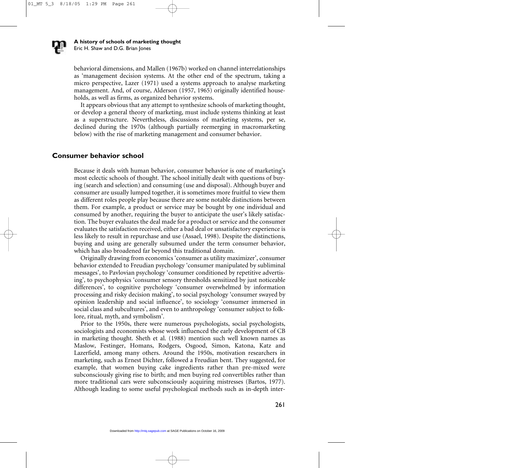

behavioral dimensions, and Mallen (1967b) worked on channel interrelationships as 'management decision systems. At the other end of the spectrum, taking a micro perspective, Lazer (1971) used a systems approach to analyse marketing management. And, of course, Alderson (1957, 1965) originally identified households, as well as firms, as organized behavior systems.

It appears obvious that any attempt to synthesize schools of marketing thought, or develop a general theory of marketing, must include systems thinking at least as a superstructure. Nevertheless, discussions of marketing systems, per se, declined during the 1970s (although partially reemerging in macromarketing below) with the rise of marketing management and consumer behavior.

#### **Consumer behavior school**

Because it deals with human behavior, consumer behavior is one of marketing's most eclectic schools of thought. The school initially dealt with questions of buying (search and selection) and consuming (use and disposal). Although buyer and consumer are usually lumped together, it is sometimes more fruitful to view them as different roles people play because there are some notable distinctions between them. For example, a product or service may be bought by one individual and consumed by another, requiring the buyer to anticipate the user's likely satisfaction. The buyer evaluates the deal made for a product or service and the consumer evaluates the satisfaction received, either a bad deal or unsatisfactory experience is less likely to result in repurchase and use (Assael, 1998). Despite the distinctions, buying and using are generally subsumed under the term consumer behavior, which has also broadened far beyond this traditional domain.

Originally drawing from economics 'consumer as utility maximizer', consumer behavior extended to Freudian psychology 'consumer manipulated by subliminal messages', to Pavlovian psychology 'consumer conditioned by repetitive advertising', to psychophysics 'consumer sensory thresholds sensitized by just noticeable differences', to cognitive psychology 'consumer overwhelmed by information processing and risky decision making', to social psychology 'consumer swayed by opinion leadership and social influence', to sociology 'consumer immersed in social class and subcultures', and even to anthropology 'consumer subject to folklore, ritual, myth, and symbolism'.

Prior to the 1950s, there were numerous psychologists, social psychologists, sociologists and economists whose work influenced the early development of CB in marketing thought. Sheth et al. (1988) mention such well known names as Maslow, Festinger, Homans, Rodgers, Osgood, Simon, Katona, Katz and Lazerfield, among many others. Around the 1950s, motivation researchers in marketing, such as Ernest Dichter, followed a Freudian bent. They suggested, for example, that women buying cake ingredients rather than pre-mixed were subconsciously giving rise to birth; and men buying red convertibles rather than more traditional cars were subconsciously acquiring mistresses (Bartos, 1977). Although leading to some useful psychological methods such as in-depth inter-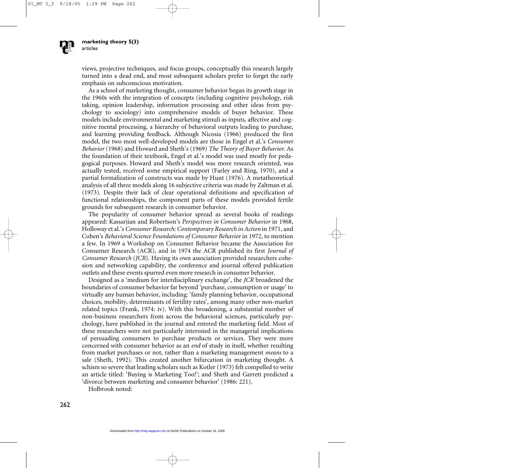

views, projective techniques, and focus groups, conceptually this research largely turned into a dead end, and most subsequent scholars prefer to forget the early emphasis on subconscious motivation.

As a school of marketing thought, consumer behavior began its growth stage in the 1960s with the integration of concepts (including cognitive psychology, risk taking, opinion leadership, information processing and other ideas from psychology to sociology) into comprehensive models of buyer behavior. These models include environmental and marketing stimuli as inputs, affective and cognitive mental processing, a hierarchy of behavioral outputs leading to purchase, and learning providing feedback. Although Nicosia (1966) produced the first model, the two most well-developed models are those in Engel et al.'s *Consumer Behavior* (1968) and Howard and Sheth's (1969) *The Theory of Buyer Behavior*. As the foundation of their textbook, Engel et al.'s model was used mostly for pedagogical purposes. Howard and Sheth's model was more research oriented, was actually tested, received some empirical support (Farley and Ring, 1970), and a partial formalization of constructs was made by Hunt (1976). A metatheoretical analysis of all three models along 16 subjective criteria was made by Zaltman et al. (1973). Despite their lack of clear operational definitions and specification of functional relationships, the component parts of these models provided fertile grounds for subsequent research in consumer behavior.

The popularity of consumer behavior spread as several books of readings appeared: Kassarjian and Robertson's *Perspectives in Consumer Behavior* in 1968, Holloway et al.'s *Consumer Research: Contemporary Research in Action* in 1971*,* and Cohen's *Behavioral Science Foundations of Consumer Behavior* in 1972, to mention a few. In 1969 a Workshop on Consumer Behavior became the Association for Consumer Research (ACR), and in 1974 the ACR published its first *Journal of Consumer Research* (*JCR*). Having its own association provided researchers cohesion and networking capability, the conference and journal offered publication outlets and these events spurred even more research in consumer behavior.

Designed as a 'medium for interdisciplinary exchange', the *JCR* broadened the boundaries of consumer behavior far beyond 'purchase, consumption or usage' to virtually any human behavior, including: 'family planning behavior, occupational choices, mobility, determinants of fertility rates', among many other non-market related topics (Frank, 1974: iv). With this broadening, a substantial number of non-business researchers from across the behavioral sciences, particularly psychology, have published in the journal and entered the marketing field. Most of these researchers were not particularly interested in the managerial implications of persuading consumers to purchase products or services. They were more concerned with consumer behavior as an *end* of study in itself, whether resulting from market purchases or not, rather than a marketing management *means* to a sale (Sheth, 1992). This created another bifurcation in marketing thought. A schism so severe that leading scholars such as Kotler (1973) felt compelled to write an article titled: 'Buying is Marketing Too!'; and Sheth and Garrett predicted a 'divorce between marketing and consumer behavior' (1986: 221).

Holbrook noted: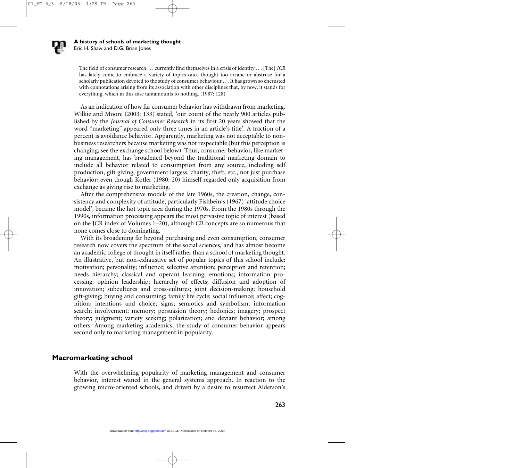The field of consumer research . . . currently find themselves in a crisis of identity . . . [The] *JCR* has lately come to embrace a variety of topics once thought too arcane or abstruse for a scholarly publication devoted to the study of consumer behaviour . . . It has grown so encrusted with connotations arising from its association with other disciplines that, by now, it stands for everything, which in this case tantamounts to nothing. (1987: 128)

As an indication of how far consumer behavior has withdrawn from marketing, Wilkie and Moore (2003: 133) stated, 'our count of the nearly 900 articles published by the *Journal of Consumer Research* in its first 20 years showed that the word "marketing" appeared only three times in an article's title'. A fraction of a percent is avoidance behavior. Apparently, marketing was not acceptable to nonbusiness researchers because marketing was not respectable (but this perception is changing; see the exchange school below). Thus, consumer behavior, like marketing management, has broadened beyond the traditional marketing domain to include all behavior related to consumption from any source, including self production, gift giving, government largess, charity, theft, etc., not just purchase behavior; even though Kotler (1980: 20) himself regarded only acquisition from exchange as giving rise to marketing.

After the comprehensive models of the late 1960s, the creation, change, consistency and complexity of attitude, particularly Fishbein's (1967) 'attitude choice model', became the hot topic area during the 1970s. From the 1980s through the 1990s, information processing appears the most pervasive topic of interest (based on the JCR index of Volumes 1–20), although CB concepts are so numerous that none comes close to dominating.

With its broadening far beyond purchasing and even consumption, consumer research now covers the spectrum of the social sciences, and has almost become an academic college of thought in itself rather than a school of marketing thought. An illustrative, but non-exhaustive set of popular topics of this school include: motivation; personality; influence; selective attention; perception and retention; needs hierarchy; classical and operant learning; emotions; information processing; opinion leadership; hierarchy of effects; diffusion and adoption of innovation; subcultures and cross-cultures; joint decision-making; household gift-giving; buying and consuming; family life cycle; social influence; affect; cognition; intentions and choice; signs; semiotics and symbolism; information search; involvement; memory; persuasion theory; hedonics; imagery; prospect theory; judgment; variety seeking; polarization; and deviant behavior; among others. Among marketing academics, the study of consumer behavior appears second only to marketing management in popularity.

#### **Macromarketing school**

With the overwhelming popularity of marketing management and consumer behavior, interest waned in the general systems approach. In reaction to the growing micro-oriented schools, and driven by a desire to resurrect Alderson's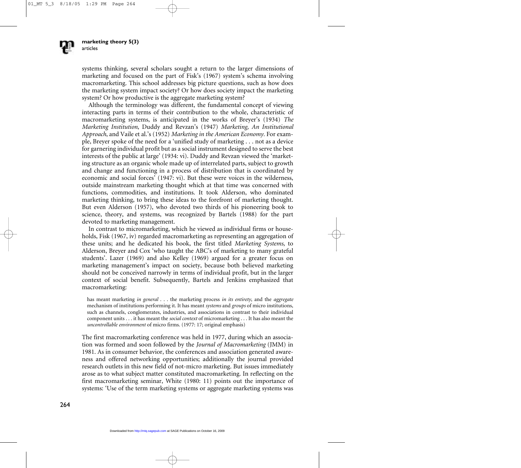

systems thinking, several scholars sought a return to the larger dimensions of marketing and focused on the part of Fisk's (1967) system's schema involving macromarketing. This school addresses big picture questions, such as how does the marketing system impact society? Or how does society impact the marketing system? Or how productive is the aggregate marketing system?

Although the terminology was different, the fundamental concept of viewing interacting parts in terms of their contribution to the whole, characteristic of macromarketing systems, is anticipated in the works of Breyer's (1934) *The Marketing Institution*, Duddy and Revzan's (1947) *Marketing, An Institutional Approach*, and Vaile et al.'s (1952) *Marketing in the American Economy.* For example, Breyer spoke of the need for a 'unified study of marketing . . . not as a device for garnering individual profit but as a social instrument designed to serve the best interests of the public at large' (1934: vi). Duddy and Revzan viewed the 'marketing structure as an organic whole made up of interrelated parts, subject to growth and change and functioning in a process of distribution that is coordinated by economic and social forces' (1947: vi). But these were voices in the wilderness, outside mainstream marketing thought which at that time was concerned with functions, commodities, and institutions. It took Alderson, who dominated marketing thinking, to bring these ideas to the forefront of marketing thought. But even Alderson (1957), who devoted two thirds of his pioneering book to science, theory, and systems, was recognized by Bartels (1988) for the part devoted to marketing management.

In contrast to micromarketing, which he viewed as individual firms or households, Fisk (1967, iv) regarded macromarketing as representing an aggregation of these units; and he dedicated his book, the first titled *Marketing Systems*, to Alderson, Breyer and Cox 'who taught the ABC's of marketing to many grateful students'. Lazer (1969) and also Kelley (1969) argued for a greater focus on marketing management's impact on society, because both believed marketing should not be conceived narrowly in terms of individual profit, but in the larger context of social benefit. Subsequently, Bartels and Jenkins emphasized that macromarketing:

has meant marketing *in general* . . . the marketing process *in its entirety*, and the *aggregate* mechanism of institutions performing it. It has meant *systems* and *groups* of micro institutions, such as channels, conglomerates, industries, and associations in contrast to their individual component units . . . it has meant the *social context* of micromarketing . . . It has also meant the *uncontrollable environment* of micro firms. (1977: 17; original emphasis)

The first macromarketing conference was held in 1977, during which an association was formed and soon followed by the *Journal of Macromarketing* (JMM) in 1981. As in consumer behavior, the conferences and association generated awareness and offered networking opportunities; additionally the journal provided research outlets in this new field of not-micro marketing. But issues immediately arose as to what subject matter constituted macromarketing. In reflecting on the first macromarketing seminar, White (1980: 11) points out the importance of systems: 'Use of the term marketing systems or aggregate marketing systems was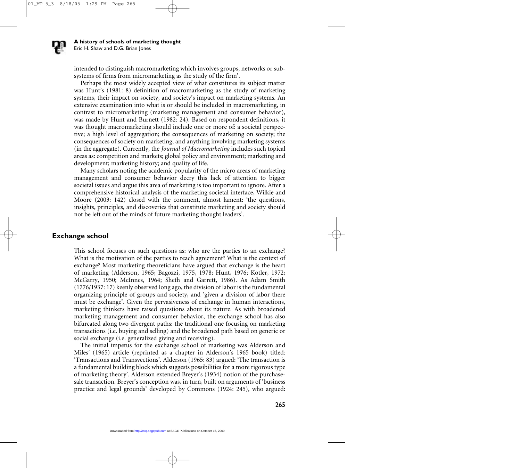intended to distinguish macromarketing which involves groups, networks or subsystems of firms from micromarketing as the study of the firm'.

Perhaps the most widely accepted view of what constitutes its subject matter was Hunt's (1981: 8) definition of macromarketing as the study of marketing systems, their impact on society, and society's impact on marketing systems. An extensive examination into what is or should be included in macromarketing, in contrast to micromarketing (marketing management and consumer behavior), was made by Hunt and Burnett (1982: 24). Based on respondent definitions, it was thought macromarketing should include one or more of: a societal perspective; a high level of aggregation; the consequences of marketing on society; the consequences of society on marketing; and anything involving marketing systems (in the aggregate). Currently, the *Journal of Macromarketing* includes such topical areas as: competition and markets; global policy and environment; marketing and development; marketing history; and quality of life.

Many scholars noting the academic popularity of the micro areas of marketing management and consumer behavior decry this lack of attention to bigger societal issues and argue this area of marketing is too important to ignore. After a comprehensive historical analysis of the marketing societal interface, Wilkie and Moore (2003: 142) closed with the comment, almost lament: 'the questions, insights, principles, and discoveries that constitute marketing and society should not be left out of the minds of future marketing thought leaders'.

#### **Exchange school**

This school focuses on such questions as: who are the parties to an exchange? What is the motivation of the parties to reach agreement? What is the context of exchange? Most marketing theoreticians have argued that exchange is the heart of marketing (Alderson, 1965; Bagozzi, 1975, 1978; Hunt, 1976; Kotler, 1972; McGarry, 1950; McInnes, 1964; Sheth and Garrett, 1986). As Adam Smith (1776/1937: 17) keenly observed long ago, the division of labor is the fundamental organizing principle of groups and society, and 'given a division of labor there must be exchange'. Given the pervasiveness of exchange in human interactions, marketing thinkers have raised questions about its nature. As with broadened marketing management and consumer behavior, the exchange school has also bifurcated along two divergent paths: the traditional one focusing on marketing transactions (i.e. buying and selling) and the broadened path based on generic or social exchange (i.e. generalized giving and receiving).

The initial impetus for the exchange school of marketing was Alderson and Miles' (1965) article (reprinted as a chapter in Alderson's 1965 book) titled: 'Transactions and Transvections'. Alderson (1965: 83) argued: 'The transaction is a fundamental building block which suggests possibilities for a more rigorous type of marketing theory'. Alderson extended Breyer's (1934) notion of the purchasesale transaction. Breyer's conception was, in turn, built on arguments of 'business practice and legal grounds' developed by Commons (1924: 245), who argued: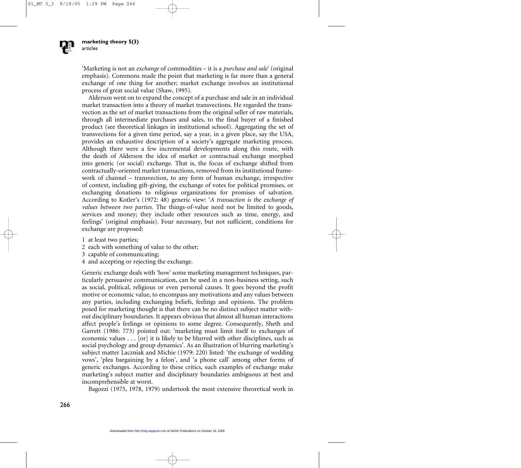

'Marketing is not an *exchange* of commodities – it is a *purchase and sale*' (original emphasis). Commons made the point that marketing is far more than a general exchange of one thing for another; market exchange involves an institutional process of great social value (Shaw, 1995).

Alderson went on to expand the concept of a purchase and sale in an individual market transaction into a theory of market transvections. He regarded the transvection as the set of market transactions from the original seller of raw materials, through all intermediate purchases and sales, to the final buyer of a finished product (see theoretical linkages in institutional school). Aggregating the set of transvections for a given time period, say a year, in a given place, say the USA, provides an exhaustive description of a society's aggregate marketing process. Although there were a few incremental developments along this route, with the death of Alderson the idea of market or contractual exchange morphed into generic (or social) exchange. That is, the focus of exchange shifted from contractually-oriented market transactions, removed from its institutional framework of channel – transvection, to any form of human exchange, irrespective of context, including gift-giving, the exchange of votes for political promises, or exchanging donations to religious organizations for promises of salvation. According to Kotler's (1972: 48) generic view: '*A transaction is the exchange of values between two parties.* The things-of-value need not be limited to goods, services and money; they include other resources such as time, energy, and feelings' (original emphasis). Four necessary, but not sufficient, conditions for exchange are proposed:

- 1 at least two parties;
- 2 each with something of value to the other;
- 3 capable of communicating;
- 4 and accepting or rejecting the exchange.

Generic exchange deals with 'how' some marketing management techniques, particularly persuasive communication, can be used in a non-business setting, such as social, political, religious or even personal causes. It goes beyond the profit motive or economic value, to encompass any motivations and any values between any parties, including exchanging beliefs, feelings and opinions. The problem posed for marketing thought is that there can be no distinct subject matter without disciplinary boundaries. It appears obvious that almost all human interactions affect people's feelings or opinions to some degree. Consequently, Sheth and Garrett (1986: 773) pointed out: 'marketing must limit itself to exchanges of economic values . . . [or] it is likely to be blurred with other disciplines, such as social psychology and group dynamics'. As an illustration of blurring marketing's subject matter Laczniak and Michie (1979: 220) listed: 'the exchange of wedding vows', 'plea bargaining by a felon', and 'a phone call' among other forms of generic exchanges. According to these critics, such examples of exchange make marketing's subject matter and disciplinary boundaries ambiguous at best and incomprehensible at worst.

Bagozzi (1975, 1978, 1979) undertook the most extensive theoretical work in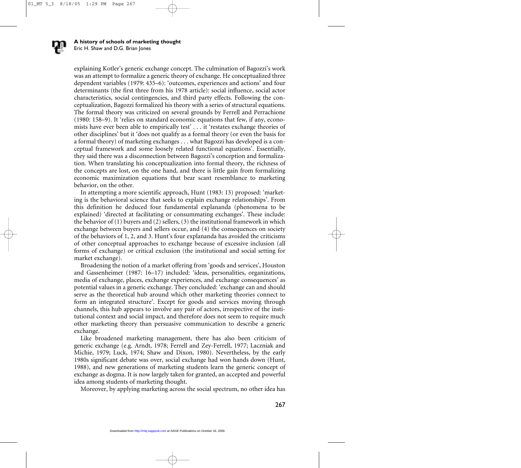explaining Kotler's generic exchange concept. The culmination of Bagozzi's work was an attempt to formalize a generic theory of exchange. He conceptualized three dependent variables (1979: 435–6): 'outcomes, experiences and actions' and four determinants (the first three from his 1978 article): social influence, social actor characteristics, social contingencies, and third party effects. Following the conceptualization, Bagozzi formalized his theory with a series of structural equations. The formal theory was criticized on several grounds by Ferrell and Perrachione (1980: 158–9). It 'relies on standard economic equations that few, if any, economists have ever been able to empirically test' . . . it 'restates exchange theories of other disciplines' but it 'does not qualify as a formal theory (or even the basis for a formal theory) of marketing exchanges . . . what Bagozzi has developed is a conceptual framework and some loosely related functional equations'. Essentially, they said there was a disconnection between Bagozzi's conception and formalization. When translating his conceptualization into formal theory, the richness of the concepts are lost, on the one hand, and there is little gain from formalizing economic maximization equations that bear scant resemblance to marketing behavior, on the other.

In attempting a more scientific approach, Hunt (1983: 13) proposed: 'marketing is the behavioral science that seeks to explain exchange relationships'. From this definition he deduced four fundamental explananda (phenomena to be explained) 'directed at facilitating or consummating exchanges'. These include: the behavior of  $(1)$  buyers and  $(2)$  sellers,  $(3)$  the institutional framework in which exchange between buyers and sellers occur, and (4) the consequences on society of the behaviors of 1, 2, and 3. Hunt's four explananda has avoided the criticisms of other conceptual approaches to exchange because of excessive inclusion (all forms of exchange) or critical exclusion (the institutional and social setting for market exchange).

Broadening the notion of a market offering from 'goods and services', Houston and Gassenheimer (1987: 16–17) included: 'ideas, personalities, organizations, media of exchange, places, exchange experiences, and exchange consequences' as potential values in a generic exchange. They concluded: 'exchange can and should serve as the theoretical hub around which other marketing theories connect to form an integrated structure'. Except for goods and services moving through channels, this hub appears to involve any pair of actors, irrespective of the institutional context and social impact, and therefore does not seem to require much other marketing theory than persuasive communication to describe a generic exchange.

Like broadened marketing management, there has also been criticism of generic exchange (e.g. Arndt, 1978; Ferrell and Zey-Ferrell, 1977; Laczniak and Michie, 1979; Luck, 1974; Shaw and Dixon, 1980). Nevertheless, by the early 1980s significant debate was over, social exchange had won hands down (Hunt, 1988), and new generations of marketing students learn the generic concept of exchange as dogma. It is now largely taken for granted, an accepted and powerful idea among students of marketing thought.

Moreover, by applying marketing across the social spectrum, no other idea has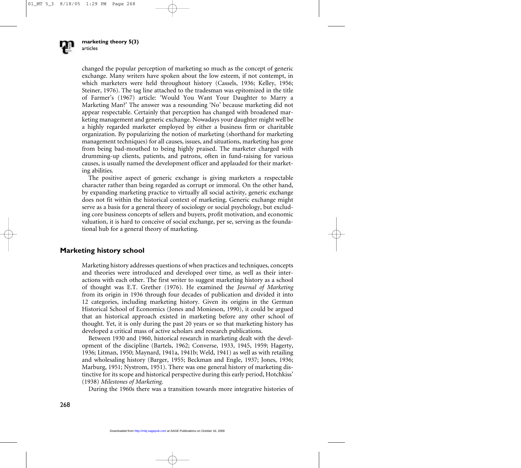

changed the popular perception of marketing so much as the concept of generic exchange. Many writers have spoken about the low esteem, if not contempt, in which marketers were held throughout history (Cassels, 1936; Kelley, 1956; Steiner, 1976). The tag line attached to the tradesman was epitomized in the title of Farmer's (1967) article: 'Would You Want Your Daughter to Marry a Marketing Man?' The answer was a resounding 'No' because marketing did not appear respectable. Certainly that perception has changed with broadened marketing management and generic exchange. Nowadays your daughter might well be a highly regarded marketer employed by either a business firm or charitable organization. By popularizing the notion of marketing (shorthand for marketing management techniques) for all causes, issues, and situations, marketing has gone from being bad-mouthed to being highly praised. The marketer charged with drumming-up clients, patients, and patrons, often in fund-raising for various causes, is usually named the development officer and applauded for their marketing abilities.

The positive aspect of generic exchange is giving marketers a respectable character rather than being regarded as corrupt or immoral. On the other hand, by expanding marketing practice to virtually all social activity, generic exchange does not fit within the historical context of marketing. Generic exchange might serve as a basis for a general theory of sociology or social psychology, but excluding core business concepts of sellers and buyers, profit motivation, and economic valuation, it is hard to conceive of social exchange, per se, serving as the foundational hub for a general theory of marketing.

#### **Marketing history school**

Marketing history addresses questions of when practices and techniques, concepts and theories were introduced and developed over time, as well as their interactions with each other. The first writer to suggest marketing history as a school of thought was E.T. Grether (1976). He examined the *Journal of Marketing* from its origin in 1936 through four decades of publication and divided it into 12 categories, including marketing history. Given its origins in the German Historical School of Economics (Jones and Monieson, 1990), it could be argued that an historical approach existed in marketing before any other school of thought. Yet, it is only during the past 20 years or so that marketing history has developed a critical mass of active scholars and research publications.

Between 1930 and 1960, historical research in marketing dealt with the development of the discipline (Bartels, 1962; Converse, 1933, 1945, 1959; Hagerty, 1936; Litman, 1950; Maynard, 1941a, 1941b; Weld, 1941) as well as with retailing and wholesaling history (Barger, 1955; Beckman and Engle, 1937; Jones, 1936; Marburg, 1951; Nystrom, 1951). There was one general history of marketing distinctive for its scope and historical perspective during this early period, Hotchkiss' (1938) *Milestones of Marketing*.

During the 1960s there was a transition towards more integrative histories of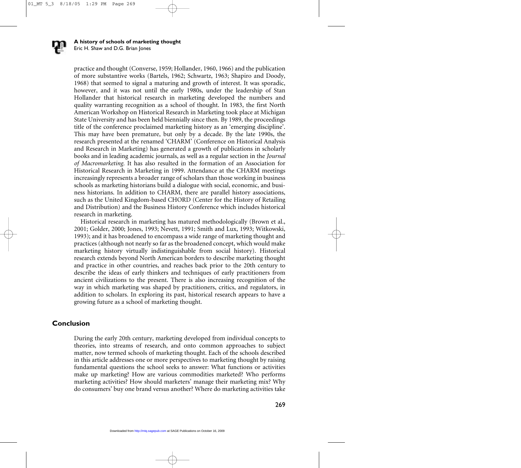

practice and thought (Converse, 1959; Hollander, 1960, 1966) and the publication of more substantive works (Bartels, 1962; Schwartz, 1963; Shapiro and Doody, 1968) that seemed to signal a maturing and growth of interest. It was sporadic, however, and it was not until the early 1980s, under the leadership of Stan Hollander that historical research in marketing developed the numbers and quality warranting recognition as a school of thought. In 1983, the first North American Workshop on Historical Research in Marketing took place at Michigan State University and has been held biennially since then. By 1989, the proceedings title of the conference proclaimed marketing history as an 'emerging discipline'. This may have been premature, but only by a decade. By the late 1990s, the research presented at the renamed 'CHARM' (Conference on Historical Analysis and Research in Marketing) has generated a growth of publications in scholarly books and in leading academic journals, as well as a regular section in the *Journal of Macromarketing.* It has also resulted in the formation of an Association for Historical Research in Marketing in 1999. Attendance at the CHARM meetings increasingly represents a broader range of scholars than those working in business schools as marketing historians build a dialogue with social, economic, and business historians. In addition to CHARM, there are parallel history associations, such as the United Kingdom-based CHORD (Center for the History of Retailing and Distribution) and the Business History Conference which includes historical research in marketing.

Historical research in marketing has matured methodologically (Brown et al., 2001; Golder, 2000; Jones, 1993; Nevett, 1991; Smith and Lux, 1993; Witkowski, 1993); and it has broadened to encompass a wide range of marketing thought and practices (although not nearly so far as the broadened concept, which would make marketing history virtually indistinguishable from social history). Historical research extends beyond North American borders to describe marketing thought and practice in other countries, and reaches back prior to the 20th century to describe the ideas of early thinkers and techniques of early practitioners from ancient civilizations to the present. There is also increasing recognition of the way in which marketing was shaped by practitioners, critics, and regulators, in addition to scholars. In exploring its past, historical research appears to have a growing future as a school of marketing thought.

#### **Conclusion**

During the early 20th century, marketing developed from individual concepts to theories, into streams of research, and onto common approaches to subject matter, now termed schools of marketing thought. Each of the schools described in this article addresses one or more perspectives to marketing thought by raising fundamental questions the school seeks to answer: What functions or activities make up marketing? How are various commodities marketed? Who performs marketing activities? How should marketers' manage their marketing mix? Why do consumers' buy one brand versus another? Where do marketing activities take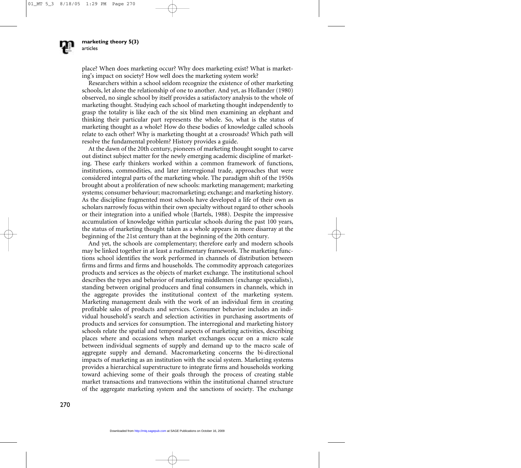

place? When does marketing occur? Why does marketing exist? What is marketing's impact on society? How well does the marketing system work?

Researchers within a school seldom recognize the existence of other marketing schools, let alone the relationship of one to another. And yet, as Hollander (1980) observed, no single school by itself provides a satisfactory analysis to the whole of marketing thought. Studying each school of marketing thought independently to grasp the totality is like each of the six blind men examining an elephant and thinking their particular part represents the whole. So, what is the status of marketing thought as a whole? How do these bodies of knowledge called schools relate to each other? Why is marketing thought at a crossroads? Which path will resolve the fundamental problem? History provides a guide.

At the dawn of the 20th century, pioneers of marketing thought sought to carve out distinct subject matter for the newly emerging academic discipline of marketing. These early thinkers worked within a common framework of functions, institutions, commodities, and later interregional trade, approaches that were considered integral parts of the marketing whole. The paradigm shift of the 1950s brought about a proliferation of new schools: marketing management; marketing systems; consumer behaviour; macromarketing; exchange; and marketing history. As the discipline fragmented most schools have developed a life of their own as scholars narrowly focus within their own specialty without regard to other schools or their integration into a unified whole (Bartels, 1988). Despite the impressive accumulation of knowledge within particular schools during the past 100 years, the status of marketing thought taken as a whole appears in more disarray at the beginning of the 21st century than at the beginning of the 20th century.

And yet, the schools are complementary; therefore early and modern schools may be linked together in at least a rudimentary framework. The marketing functions school identifies the work performed in channels of distribution between firms and firms and firms and households. The commodity approach categorizes products and services as the objects of market exchange. The institutional school describes the types and behavior of marketing middlemen (exchange specialists), standing between original producers and final consumers in channels, which in the aggregate provides the institutional context of the marketing system. Marketing management deals with the work of an individual firm in creating profitable sales of products and services. Consumer behavior includes an individual household's search and selection activities in purchasing assortments of products and services for consumption. The interregional and marketing history schools relate the spatial and temporal aspects of marketing activities, describing places where and occasions when market exchanges occur on a micro scale between individual segments of supply and demand up to the macro scale of aggregate supply and demand. Macromarketing concerns the bi-directional impacts of marketing as an institution with the social system. Marketing systems provides a hierarchical superstructure to integrate firms and households working toward achieving some of their goals through the process of creating stable market transactions and transvections within the institutional channel structure of the aggregate marketing system and the sanctions of society. The exchange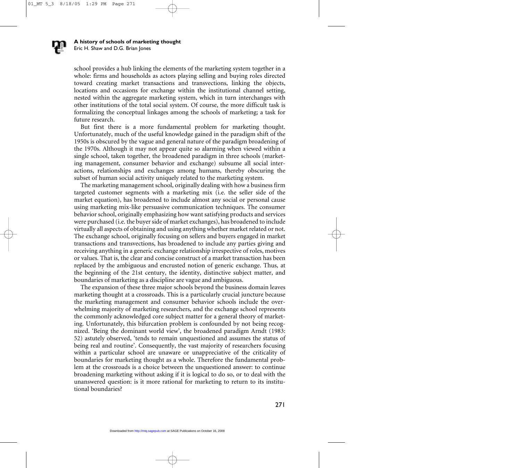school provides a hub linking the elements of the marketing system together in a whole: firms and households as actors playing selling and buying roles directed toward creating market transactions and transvections, linking the objects, locations and occasions for exchange within the institutional channel setting, nested within the aggregate marketing system, which in turn interchanges with other institutions of the total social system. Of course, the more difficult task is formalizing the conceptual linkages among the schools of marketing; a task for future research.

But first there is a more fundamental problem for marketing thought. Unfortunately, much of the useful knowledge gained in the paradigm shift of the 1950s is obscured by the vague and general nature of the paradigm broadening of the 1970s. Although it may not appear quite so alarming when viewed within a single school, taken together, the broadened paradigm in three schools (marketing management, consumer behavior and exchange) subsume all social interactions, relationships and exchanges among humans, thereby obscuring the subset of human social activity uniquely related to the marketing system.

The marketing management school, originally dealing with how a business firm targeted customer segments with a marketing mix (i.e. the seller side of the market equation), has broadened to include almost any social or personal cause using marketing mix-like persuasive communication techniques. The consumer behavior school, originally emphasizing how want satisfying products and services were purchased (i.e. the buyer side of market exchanges), has broadened to include virtually all aspects of obtaining and using anything whether market related or not. The exchange school, originally focusing on sellers and buyers engaged in market transactions and transvections, has broadened to include any parties giving and receiving anything in a generic exchange relationship irrespective of roles, motives or values. That is, the clear and concise construct of a market transaction has been replaced by the ambiguous and encrusted notion of generic exchange. Thus, at the beginning of the 21st century, the identity, distinctive subject matter, and boundaries of marketing as a discipline are vague and ambiguous.

The expansion of these three major schools beyond the business domain leaves marketing thought at a crossroads. This is a particularly crucial juncture because the marketing management and consumer behavior schools include the overwhelming majority of marketing researchers, and the exchange school represents the commonly acknowledged core subject matter for a general theory of marketing. Unfortunately, this bifurcation problem is confounded by not being recognized. 'Being the dominant world view', the broadened paradigm Arndt (1983: 52) astutely observed, 'tends to remain unquestioned and assumes the status of being real and routine'. Consequently, the vast majority of researchers focusing within a particular school are unaware or unappreciative of the criticality of boundaries for marketing thought as a whole. Therefore the fundamental problem at the crossroads is a choice between the unquestioned answer: to continue broadening marketing without asking if it is logical to do so, or to deal with the unanswered question: is it more rational for marketing to return to its institutional boundaries?

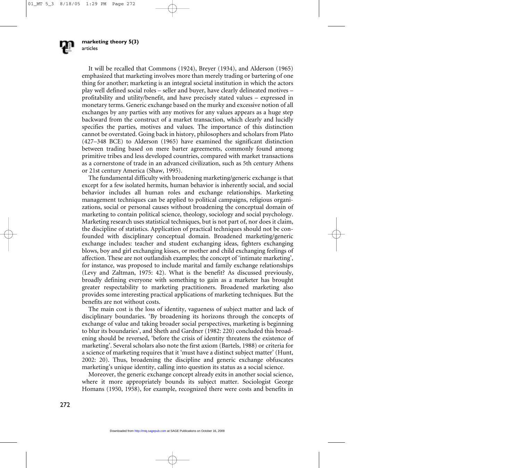It will be recalled that Commons (1924), Breyer (1934), and Alderson (1965) emphasized that marketing involves more than merely trading or bartering of one thing for another; marketing is an integral societal institution in which the actors play well defined social roles – seller and buyer, have clearly delineated motives – profitability and utility/benefit, and have precisely stated values – expressed in monetary terms. Generic exchange based on the murky and excessive notion of all exchanges by any parties with any motives for any values appears as a huge step backward from the construct of a market transaction, which clearly and lucidly specifies the parties, motives and values. The importance of this distinction cannot be overstated. Going back in history, philosophers and scholars from Plato (427–348 BCE) to Alderson (1965) have examined the significant distinction between trading based on mere barter agreements, commonly found among primitive tribes and less developed countries, compared with market transactions as a cornerstone of trade in an advanced civilization, such as 5th century Athens or 21st century America (Shaw, 1995).

The fundamental difficulty with broadening marketing/generic exchange is that except for a few isolated hermits, human behavior is inherently social, and social behavior includes all human roles and exchange relationships. Marketing management techniques can be applied to political campaigns, religious organizations, social or personal causes without broadening the conceptual domain of marketing to contain political science, theology, sociology and social psychology. Marketing research uses statistical techniques, but is not part of, nor does it claim, the discipline of statistics. Application of practical techniques should not be confounded with disciplinary conceptual domain. Broadened marketing/generic exchange includes: teacher and student exchanging ideas, fighters exchanging blows, boy and girl exchanging kisses, or mother and child exchanging feelings of affection. These are not outlandish examples; the concept of 'intimate marketing', for instance, was proposed to include marital and family exchange relationships (Levy and Zaltman, 1975: 42). What is the benefit? As discussed previously, broadly defining everyone with something to gain as a marketer has brought greater respectability to marketing practitioners. Broadened marketing also provides some interesting practical applications of marketing techniques. But the benefits are not without costs.

The main cost is the loss of identity, vagueness of subject matter and lack of disciplinary boundaries. 'By broadening its horizons through the concepts of exchange of value and taking broader social perspectives, marketing is beginning to blur its boundaries', and Sheth and Gardner (1982: 220) concluded this broadening should be reversed, 'before the crisis of identity threatens the existence of marketing'. Several scholars also note the first axiom (Bartels, 1988) or criteria for a science of marketing requires that it 'must have a distinct subject matter' (Hunt, 2002: 20). Thus, broadening the discipline and generic exchange obfuscates marketing's unique identity, calling into question its status as a social science.

Moreover, the generic exchange concept already exits in another social science, where it more appropriately bounds its subject matter. Sociologist George Homans (1950, 1958), for example, recognized there were costs and benefits in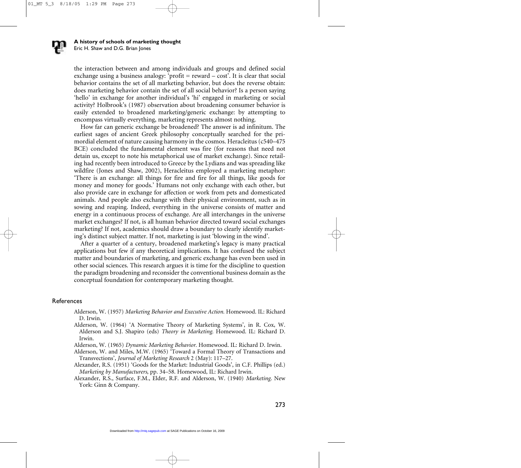the interaction between and among individuals and groups and defined social exchange using a business analogy: 'profit  $=$  reward  $-$  cost'. It is clear that social behavior contains the set of all marketing behavior, but does the reverse obtain: does marketing behavior contain the set of all social behavior? Is a person saying 'hello' in exchange for another individual's 'hi' engaged in marketing or social activity? Holbrook's (1987) observation about broadening consumer behavior is easily extended to broadened marketing/generic exchange: by attempting to encompass virtually everything, marketing represents almost nothing.

How far can generic exchange be broadened? The answer is ad infinitum. The earliest sages of ancient Greek philosophy conceptually searched for the primordial element of nature causing harmony in the cosmos. Heracleitus (c540–475 BCE) concluded the fundamental element was fire (for reasons that need not detain us, except to note his metaphorical use of market exchange). Since retailing had recently been introduced to Greece by the Lydians and was spreading like wildfire (Jones and Shaw, 2002), Heracleitus employed a marketing metaphor: 'There is an exchange: all things for fire and fire for all things, like goods for money and money for goods.' Humans not only exchange with each other, but also provide care in exchange for affection or work from pets and domesticated animals. And people also exchange with their physical environment, such as in sowing and reaping. Indeed, everything in the universe consists of matter and energy in a continuous process of exchange. Are all interchanges in the universe market exchanges? If not, is all human behavior directed toward social exchanges marketing? If not, academics should draw a boundary to clearly identify marketing's distinct subject matter. If not, marketing is just 'blowing in the wind'.

After a quarter of a century, broadened marketing's legacy is many practical applications but few if any theoretical implications. It has confused the subject matter and boundaries of marketing, and generic exchange has even been used in other social sciences. This research argues it is time for the discipline to question the paradigm broadening and reconsider the conventional business domain as the conceptual foundation for contemporary marketing thought.

#### References

- Alderson, W. (1957) *Marketing Behavior and Executive Action.* Homewood. IL: Richard D. Irwin.
- Alderson, W. (1964) 'A Normative Theory of Marketing Systems', in R. Cox, W. Alderson and S.J. Shapiro (eds) *Theory in Marketing.* Homewood. IL: Richard D. Irwin.

Alderson, W. (1965) *Dynamic Marketing Behavior.* Homewood. IL: Richard D. Irwin.

- Alderson, W. and Miles, M.W. (1965) 'Toward a Formal Theory of Transactions and Transvections', *Journal of Marketing Research* 2 (May): 117–27.
- Alexander, R.S. (1951) 'Goods for the Market: Industrial Goods', in C.F. Phillips (ed.) *Marketing by Manufacturers*, pp. 34–58. Homewood, IL: Richard Irwin.
- Alexander, R.S., Surface, F.M., Elder, R.F. and Alderson, W. (1940) *Marketing*. New York: Ginn & Company.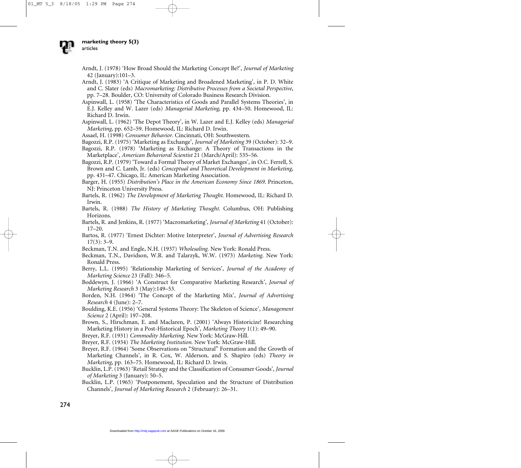

- Arndt, J. (1978) 'How Broad Should the Marketing Concept Be?', *Journal of Marketing* 42 (January):101–3.
- Arndt, J. (1983) 'A Critique of Marketing and Broadened Marketing', in P. D. White and C. Slater (eds) *Macromarketing: Distributive Processes from a Societal Perspective*, pp. 7–28. Boulder, CO: University of Colorado Business Research Division.
- Aspinwall, L. (1958) 'The Characteristics of Goods and Parallel Systems Theories', in E.J. Kelley and W. Lazer (eds) *Managerial Marketing*, pp. 434–50. Homewood, IL: Richard D. Irwin.
- Aspinwall, L. (1962) 'The Depot Theory', in W. Lazer and E.J. Kelley (eds) *Managerial Marketing*, pp. 652–59. Homewood, IL: Richard D. Irwin.
- Assael, H. (1998) *Consumer Behavior.* Cincinnati, OH: Southwestern.
- Bagozzi, R.P. (1975) 'Marketing as Exchange', *Journal of Marketing* 39 (October): 32–9.
- Bagozzi, R.P. (1978) 'Marketing as Exchange: A Theory of Transactions in the Marketplace', *American Behavioral Scientist* 21 (March/April): 535–56.
- Bagozzi, R.P. (1979) 'Toward a Formal Theory of Market Exchanges', in O.C. Ferrell, S. Brown and C. Lamb, Jr. (eds) *Conceptual and Theoretical Development in Marketing*, pp. 431–47. Chicago, IL: American Marketing Association.
- Barger, H. (1955) *Distribution's Place in the American Economy Since 1869*. Princeton, NJ: Princeton University Press.
- Bartels, R. (1962) *The Development of Marketing Thought.* Homewood, IL: Richard D. Irwin.
- Bartels, R. (1988) *The History of Marketing Thought.* Columbus, OH: Publishing Horizons.
- Bartels, R. and Jenkins, R. (1977) 'Macromarketing', *Journal of Marketing* 41 (October): 17–20.
- Bartos, R. (1977) 'Ernest Dichter: Motive Interpreter', *Journal of Advertising Research*  $17(3)$ : 3–9.
- Beckman, T.N. and Engle, N.H. (1937) *Wholesaling.* New York: Ronald Press.
- Beckman, T.N., Davidson, W.R. and Talarzyk, W.W. (1973) *Marketing*. New York: Ronald Press.
- Berry, L.L. (1995) 'Relationship Marketing of Services', *Journal of the Academy of Marketing Science* 23 (Fall): 346–5.
- Boddewyn, J. (1966) 'A Construct for Comparative Marketing Research', *Journal of Marketing Research* 3 (May):149–53.
- Borden, N.H. (1964) 'The Concept of the Marketing Mix', *Journal of Advertising Research* 4 (June): 2–7.
- Boulding, K.E. (1956) 'General Systems Theory: The Skeleton of Science', *Management Science* 2 (April): 197–208.
- Brown, S., Hirschman, E. and Maclaren, P. (2001) 'Always Historicize! Researching Marketing History in a Post-Historical Epoch', *Marketing Theory* 1(1): 49–90.
- Breyer, R.F. (1931) *Commodity Marketing.* New York: McGraw-Hill.
- Breyer, R.F. (1934) *The Marketing Institution.* New York: McGraw-Hill.
- Breyer, R.F. (1964) 'Some Observations on "Structural" Formation and the Growth of Marketing Channels', in R. Cox, W. Alderson, and S. Shapiro (eds) *Theory in Marketing*, pp. 163–75. Homewood, IL: Richard D. Irwin.
- Bucklin, L.P. (1963) 'Retail Strategy and the Classification of Consumer Goods', *Journal of Marketing* 3 (January): 50–5.
- Bucklin, L.P. (1965) 'Postponement, Speculation and the Structure of Distribution Channels', *Journal of Marketing Research* 2 (February): 26–31.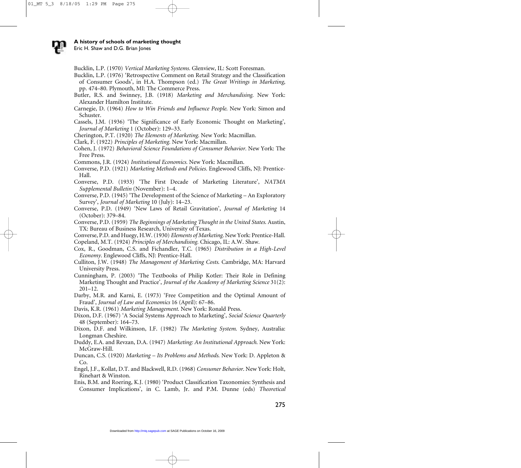

Bucklin, L.P. (1970) *Vertical Marketing Systems.* Glenview, IL: Scott Foresman.

- Bucklin, L.P. (1976) 'Retrospective Comment on Retail Strategy and the Classification of Consumer Goods', in H.A. Thompson (ed.) *The Great Writings in Marketing*, pp. 474–80. Plymouth, MI: The Commerce Press.
- Butler, R.S. and Swinney, J.B. (1918) *Marketing and Merchandising*. New York: Alexander Hamilton Institute.
- Carnegie, D. (1964) *How to Win Friends and Influence People*. New York: Simon and Schuster.
- Cassels, J.M. (1936) 'The Significance of Early Economic Thought on Marketing', *Journal of Marketing* 1 (October): 129–33.
- Cherington, P.T. (1920) *The Elements of Marketing*. New York: Macmillan.

Clark, F. (1922) *Principles of Marketing.* New York: Macmillan.

- Cohen, J. (1972) *Behavioral Science Foundations of Consumer Behavior.* New York: The Free Press.
- Commons, J.R. (1924) *Institutional Economics.* New York: Macmillan.
- Converse, P.D. (1921) *Marketing Methods and Policies.* Englewood Cliffs, NJ: Prentice-Hall.
- Converse, P.D. (1933) 'The First Decade of Marketing Literature', *NATMA Supplemental Bulletin* (November): 1–4.
- Converse, P.D. (1945) 'The Development of the Science of Marketing An Exploratory Survey', *Journal of Marketing* 10 (July): 14–23.
- Converse, P.D. (1949) 'New Laws of Retail Gravitation', *Journal of Marketing* 14 (October): 379–84.
- Converse, P.D. (1959) *The Beginnings of Marketing Thought in the United States*. Austin, TX: Bureau of Business Research, University of Texas.
- Converse, P.D. and Huegy, H.W. (1930) *Elements of Marketing*. New York: Prentice-Hall. Copeland, M.T. (1924) *Principles of Merchandising.* Chicago, IL: A.W. Shaw.
- Cox, R., Goodman, C.S. and Fichandler, T.C. (1965) *Distribution in a High-Level Economy*. Englewood Cliffs, NJ: Prentice-Hall.
- Culliton, J.W. (1948) *The Management of Marketing Costs*. Cambridge, MA: Harvard University Press.
- Cunningham, P. (2003) 'The Textbooks of Philip Kotler: Their Role in Defining Marketing Thought and Practice', *Journal of the Academy of Marketing Science* 31(2): 201–12.
- Darby, M.R. and Karni, E. (1973) 'Free Competition and the Optimal Amount of Fraud', *Journal of Law and Economics* 16 (April): 67–86.
- Davis, K.R. (1961) *Marketing Management*. New York: Ronald Press.
- Dixon, D.F. (1967) 'A Social Systems Approach to Marketing', *Social Science Quarterly* 48 (September): 164–73.
- Dixon, D.F. and Wilkinson, I.F. (1982) *The Marketing System*. Sydney, Australia: Longman Cheshire.
- Duddy, E.A. and Revzan, D.A. (1947) *Marketing: An Institutional Approach*. New York: McGraw-Hill.
- Duncan, C.S. (1920) *Marketing Its Problems and Methods*. New York: D. Appleton & Co.
- Engel, J.F., Kollat, D.T. and Blackwell, R.D. (1968) *Consumer Behavior*. New York: Holt, Rinehart & Winston.
- Enis, B.M. and Roering, K.J. (1980) 'Product Classification Taxonomies: Synthesis and Consumer Implications', in C. Lamb, Jr. and P.M. Dunne (eds) *Theoretical*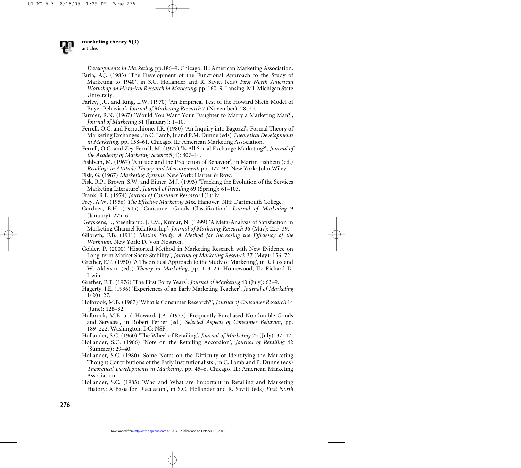

*Developments in Marketing*, pp.186–9. Chicago, IL: American Marketing Association.

Faria, A.J. (1983) 'The Development of the Functional Approach to the Study of Marketing to 1940', in S.C. Hollander and R. Savitt (eds) *First North American Workshop on Historical Research in Marketing*, pp. 160–9. Lansing, MI: Michigan State University.

Farley, J.U. and Ring, L.W. (1970) 'An Empirical Test of the Howard Sheth Model of Buyer Behavior', *Journal of Marketing Research* 7 (November): 28–33.

- Farmer, R.N. (1967) 'Would You Want Your Daughter to Marry a Marketing Man?', *Journal of Marketing* 31 (January): 1–10.
- Ferrell, O.C. and Perrachione, J.R. (1980) 'An Inquiry into Bagozzi's Formal Theory of Marketing Exchanges', in C. Lamb, Jr and P.M. Dunne (eds) *Theoretical Developments in Marketing*, pp. 158–61. Chicago, IL: American Marketing Association.
- Ferrell, O.C. and Zey-Ferrell, M. (1977) 'Is All Social Exchange Marketing?', *Journal of the Academy of Marketing Science* 5(4): 307–14.

Fishbein, M. (1967) 'Attitude and the Prediction of Behavior', in Martin Fishbein (ed.) *Readings in Attitude Theory and Measurement*, pp. 477–92. New York: John Wiley.

Fisk, G. (1967) *Marketing Systems.* New York: Harper & Row.

Fisk, R.P., Brown, S.W. and Bitner, M.J. (1993) 'Tracking the Evolution of the Services Marketing Literature', *Journal of Retailing* 69 (Spring): 61–103.

- Frank, R.E. (1974) *Journal of Consumer Research* 1(1): iv.
- Frey, A.W. (1956) *The Effective Marketing Mix.* Hanover, NH: Dartmouth College.
- Gardner, E.H. (1945) 'Consumer Goods Classification', *Journal of Marketing* 9 (January): 275–6.
- Geyskens, I., Steenkamp, J.E.M., Kumar, N. (1999) 'A Meta-Analysis of Satisfaction in Marketing Channel Relationship', *Journal of Marketing Research* 36 (May): 223–39.
- Gilbreth, F.B. (1911) *Motion Study: A Method for Increasing the Efficiency of the Workman.* New York: D. Von Nostron.
- Golder, P. (2000) 'Historical Method in Marketing Research with New Evidence on Long-term Market Share Stability', *Journal of Marketing Research* 37 (May): 156–72.
- Grether, E.T. (1950) 'A Theoretical Approach to the Study of Marketing', in R. Cox and W. Alderson (eds) *Theory in Marketing*, pp. 113–23. Homewood, IL: Richard D. Irwin.
- Grether, E.T. (1976) 'The First Forty Years', *Journal of Marketing* 40 (July): 63–9.
- Hagerty, J.E. (1936) 'Experiences of an Early Marketing Teacher', *Journal of Marketing* 1(20): 27.
- Holbrook, M.B. (1987) 'What is Consumer Research?', *Journal of Consumer Research* 14 (June): 128–32.
- Holbrook, M.B. and Howard, J.A. (1977) 'Frequently Purchased Nondurable Goods and Services', in Robert Ferber (ed.) *Selected Aspects of Consumer Behavior*, pp. 189–222. Washington, DC: NSF.

Hollander, S.C. (1960) 'The Wheel of Retailing', *Journal of Marketing* 25 (July): 37–42.

- Hollander, S.C. (1966) 'Note on the Retailing Accordion', *Journal of Retailing* 42 (Summer): 29–40.
- Hollander, S.C. (1980) 'Some Notes on the Difficulty of Identifying the Marketing Thought Contributions of the Early Institutionalists', in C. Lamb and P. Dunne (eds) *Theoretical Developments in Marketing*, pp. 45–6. Chicago, IL: American Marketing Association.
- Hollander, S.C. (1983) 'Who and What are Important in Retailing and Marketing History: A Basis for Discussion', in S.C. Hollander and R. Savitt (eds) *First North*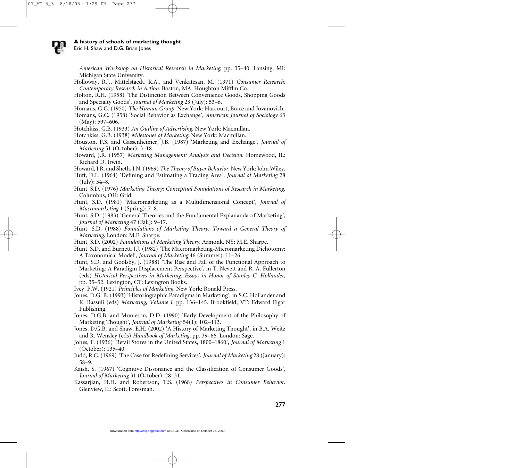

*American Workshop on Historical Research in Marketing*, pp. 35–40. Lansing, MI: Michigan State University.

Holloway, R.J., Mittelstaedt, R.A., and Venkatesan, M. (1971) *Consumer Research: Contemporary Research in Action*. Boston, MA: Houghton Mifflin Co.

Holton, R.H. (1958) 'The Distinction Between Convenience Goods, Shopping Goods and Specialty Goods', *Journal of Marketing* 23 (July): 53–6.

Homans, G.C. (1950) *The Human Group*. New York: Harcourt, Brace and Jovanovich.

Homans, G.C. (1958) 'Social Behavior as Exchange', *American Journal of Sociology* 63 (May): 597–606.

Hotchkiss, G.B. (1933) *An Outline of Advertising*. New York: Macmillan.

Hotchkiss, G.B. (1938) *Milestones of Marketing*. New York: Macmillan.

- Houston, F.S. and Gassenheimer, J.B. (1987) 'Marketing and Exchange', *Journal of Marketing* 51 (October): 3–18.
- Howard, J.R. (1957) *Marketing Management: Analysis and Decision*. Homewood, IL: Richard D. Irwin.

Howard, J.R. and Sheth, J.N. (1969) *The Theory of Buyer Behavior*. New York: John Wiley.

- Huff, D.L. (1964) 'Defining and Estimating a Trading Area', *Journal of Marketing* 28 (July): 34–8.
- Hunt, S.D. (1976) *Marketing Theory: Conceptual Foundations of Research in Marketing*. Columbus, OH: Grid.
- Hunt, S.D. (1981) 'Macromarketing as a Multidimensional Concept', *Journal of Macromarketing* 1 (Spring): 7–8.
- Hunt, S.D. (1983) 'General Theories and the Fundamental Explananda of Marketing', *Journal of Marketing* 47 (Fall): 9–17.
- Hunt, S.D. (1988) *Foundations of Marketing Theory: Toward a General Theory of Marketing*. London: M.E. Sharpe.
- Hunt, S.D. (2002) *Foundations of Marketing Theory*. Armonk, NY: M.E. Sharpe.
- Hunt, S.D. and Burnett, J.J. (1982) 'The Macromarketing-Micromarketing Dichotomy: A Taxonomical Model', *Journal of Marketing* 46 (Summer): 11–26.
- Hunt, S.D. and Goolsby, J. (1988) 'The Rise and Fall of the Functional Approach to Marketing: A Paradigm Displacement Perspective', in T. Nevett and R. A. Fullerton (eds) *Historical Perspectives in Marketing: Essays in Honor of Stanley C. Hollander*, pp. 35–52. Lexington, CT: Lexington Books.
- Ivey, P.W. (1921) *Principles of Marketing*. New York: Ronald Press.
- Jones, D.G. B. (1993) 'Historiographic Paradigms in Marketing', in S.C. Hollander and K. Rassuli (eds) *Marketing, Volume I*, pp. 136–145. Brookfield, VT: Edward Elgar Publishing.
- Jones, D.G.B. and Monieson, D.D. (1990) 'Early Development of the Philosophy of Marketing Thought', *Journal of Marketing* 54(1): 102–113.
- Jones, D.G.B. and Shaw, E.H. (2002) 'A History of Marketing Thought', in B.A. Weitz and R. Wensley (eds) *Handbook of Marketing*, pp. 39–66. London: Sage.
- Jones, F. (1936) 'Retail Stores in the United States, 1800–1860', *Journal of Marketing* 1 (October): 135–40.
- Judd, R.C. (1969) *'*The Case for Redefining Services', *Journal of Marketing* 28 (January): 58–9.
- Kaish, S. (1967) 'Cognitive Dissonance and the Classification of Consumer Goods', *Journal of Marketing* 31 (October): 28–31.
- Kassarjian, H.H. and Robertson, T.S. (1968) *Perspectives in Consumer Behavior*. Glenview, IL: Scott, Foresman.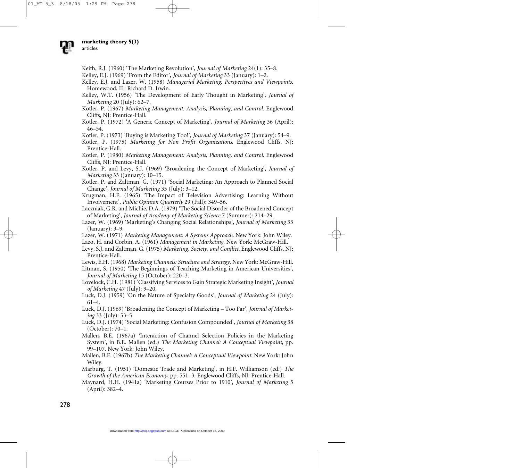

Keith, R.J. (1960) 'The Marketing Revolution', *Journal of Marketing* 24(1): 35–8.

Kelley, E.J. (1969) 'From the Editor', *Journal of Marketing* 33 (January): 1–2.

Kelley, E.J. and Lazer, W. (1958) *Managerial Marketing: Perspectives and Viewpoints*. Homewood, IL: Richard D. Irwin.

Kelley, W.T. (1956) 'The Development of Early Thought in Marketing', *Journal of Marketing* 20 (July): 62–7.

Kotler, P. (1967) *Marketing Management: Analysis, Planning, and Control*. Englewood Cliffs, NJ: Prentice-Hall.

Kotler, P. (1972) 'A Generic Concept of Marketing', *Journal of Marketing* 36 (April): 46–54.

Kotler, P. (1973) 'Buying is Marketing Too!', *Journal of Marketing* 37 (January): 54–9.

- Kotler, P. (1975) *Marketing for Non Profit Organizations*. Englewood Cliffs, NJ: Prentice-Hall.
- Kotler, P. (1980) *Marketing Management: Analysis, Planning, and Control*. Englewood Cliffs, NJ: Prentice-Hall.
- Kotler, P. and Levy, S.J. (1969) 'Broadening the Concept of Marketing', *Journal of Marketing* 33 (January): 10–15.
- Kotler, P. and Zaltman, G. (1971) 'Social Marketing: An Approach to Planned Social Change', *Journal of Marketing* 35 (July): 3–12.
- Krugman, H.E. (1965) 'The Impact of Television Advertising: Learning Without Involvement', *Public Opinion Quarterly* 29 (Fall): 349–56.
- Laczniak, G.R. and Michie, D.A. (1979) 'The Social Disorder of the Broadened Concept of Marketing', *Journal of Academy of Marketing Science* 7 (Summer): 214–29.
- Lazer, W. (1969) 'Marketing's Changing Social Relationships', *Journal of Marketing* 33 (January): 3–9.
- Lazer, W. (1971) *Marketing Management: A Systems Approach*. New York: John Wiley.

Lazo, H. and Corbin, A. (1961) *Management in Marketing*. New York: McGraw-Hill.

- Levy, S.J. and Zaltman, G. (1975) *Marketing, Society, and Conflict*. Englewood Cliffs, NJ: Prentice-Hall.
- Lewis, E.H. (1968) *Marketing Channels: Structure and Strategy*. New York: McGraw-Hill.
- Litman, S. (1950) 'The Beginnings of Teaching Marketing in American Universities', *Journal of Marketing* 15 (October): 220–3.
- Lovelock, C.H. (1981) 'Classifying Services to Gain Strategic Marketing Insight', *Journal of Marketing* 47 (July): 9–20.
- Luck, D.J. (1959) 'On the Nature of Specialty Goods', *Journal of Marketing* 24 (July): 61–4.
- Luck, D.J. (1969) 'Broadening the Concept of Marketing Too Far', *Journal of Marketing* 33 (July): 53–5.
- Luck, D.J. (1974) 'Social Marketing: Confusion Compounded', *Journal of Marketing* 38 (October): 70–1.
- Mallen, B.E. (1967a) 'Interaction of Channel Selection Policies in the Marketing System', in B.E. Mallen (ed.) *The Marketing Channel: A Conceptual Viewpoint*, pp. 99–107. New York: John Wiley.
- Mallen, B.E. (1967b) *The Marketing Channel: A Conceptual Viewpoint*. New York: John Wiley.
- Marburg, T. (1951) 'Domestic Trade and Marketing', in H.F. Williamson (ed.) *The Growth of the American Economy*, pp. 551–3. Englewood Cliffs, NJ: Prentice-Hall.
- Maynard, H.H. (1941a) 'Marketing Courses Prior to 1910', *Journal of Marketing* 5 (April): 382–4.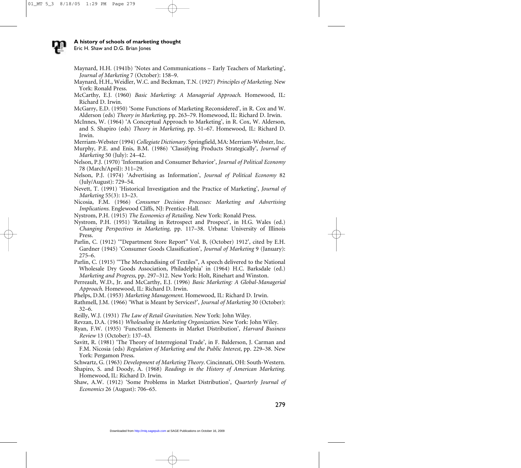

- Maynard, H.H. (1941b) 'Notes and Communications Early Teachers of Marketing', *Journal of Marketing* 7 (October): 158–9.
- Maynard, H.H., Weidler, W.C. and Beckman, T.N. (1927) *Principles of Marketing.* New York: Ronald Press.
- McCarthy, E.J. (1960) *Basic Marketing: A Managerial Approach*. Homewood, IL: Richard D. Irwin.
- McGarry, E.D. (1950) 'Some Functions of Marketing Reconsidered', in R. Cox and W. Alderson (eds) *Theory in Marketing*, pp. 263–79. Homewood, IL: Richard D. Irwin.
- McInnes, W. (1964) 'A Conceptual Approach to Marketing', in R. Cox, W. Alderson, and S. Shapiro (eds) *Theory in Marketing*, pp. 51–67. Homewood, IL: Richard D. Irwin.

Merriam-Webster (1994) *Collegiate Dictionary*. Springfield, MA: Merriam-Webster, Inc.

- Murphy, P.E. and Enis, B.M. (1986) 'Classifying Products Strategically', *Journal of Marketing* 50 (July): 24–42.
- Nelson, P.J. (1970) 'Information and Consumer Behavior', *Journal of Political Economy* 78 (March/April): 311–29.
- Nelson, P.J. (1974) 'Advertising as Information', *Journal of Political Economy* 82 (July/August): 729–54.
- Nevett, T. (1991) 'Historical Investigation and the Practice of Marketing', *Journal of Marketing* 55(3): 13–23.
- Nicosia, F.M. (1966) *Consumer Decision Processes: Marketing and Advertising Implications.* Englewood Cliffs, NJ: Prentice-Hall.
- Nystrom, P.H. (1915) *The Economics of Retailing*. New York: Ronald Press.
- Nystrom, P.H. (1951) 'Retailing in Retrospect and Prospect', in H.G. Wales (ed.) *Changing Perspectives in Marketing*, pp. 117–38. Urbana: University of Illinois Press.
- Parlin, C. (1912) '"Department Store Report" Vol. B, (October) 1912', cited by E.H. Gardner (1945) 'Consumer Goods Classification', *Journal of Marketing* 9 (January): 275–6.
- Parlin, C. (1915) '"The Merchandising of Textiles", A speech delivered to the National Wholesale Dry Goods Association, Philadelphia' in (1964) H.C. Barksdale (ed.) *Marketing and Progress*, pp. 297–312. New York: Holt, Rinehart and Winston.
- Perreault, W.D., Jr. and McCarthy, E.J. (1996) *Basic Marketing: A Global-Managerial Approach*. Homewood, IL: Richard D. Irwin.
- Phelps, D.M. (1953) *Marketing Management*. Homewood, IL: Richard D. Irwin.
- Rathmell, J.M. (1966) 'What is Meant by Services?', *Journal of Marketing* 30 (October): 32–6.
- Reilly, W.J. (1931) *The Law of Retail Gravitation*. New York: John Wiley.
- Revzan, D.A. (1961) *Wholesaling in Marketing Organization*. New York: John Wiley.
- Ryan, F.W. (1935) 'Functional Elements in Market Distribution', *Harvard Business Review* 13 (October): 137–43.
- Savitt, R. (1981) 'The Theory of Interregional Trade', in F. Balderson, J. Carman and F.M. Nicosia (eds) *Regulation of Marketing and the Public Interest*, pp. 229–38. New York: Pergamon Press.
- Schwartz, G. (1963) *Development of Marketing Theory*. Cincinnati, OH: South-Western.
- Shapiro, S. and Doody, A. (1968) *Readings in the History of American Marketing*. Homewood, IL: Richard D. Irwin.
- Shaw, A.W. (1912) 'Some Problems in Market Distribution', *Quarterly Journal of Economics* 26 (August): 706–65.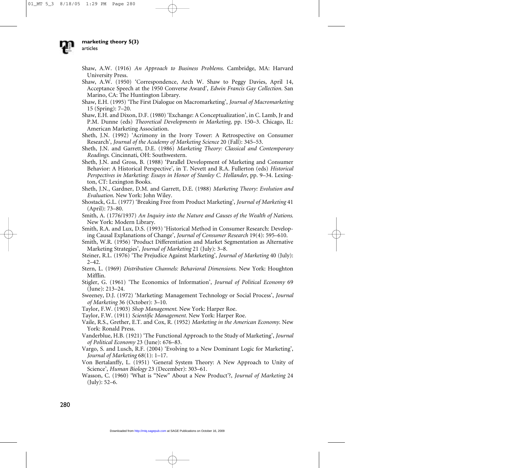

- Shaw, A.W. (1916) *An Approach to Business Problems*. Cambridge, MA: Harvard University Press.
- Shaw, A.W. (1950) 'Correspondence, Arch W. Shaw to Peggy Davies, April 14, Acceptance Speech at the 1950 Converse Award', *Edwin Francis Gay Collection.* San Marino, CA: The Huntington Library.
- Shaw, E.H. (1995) 'The First Dialogue on Macromarketing', *Journal of Macromarketing* 15 (Spring): 7–20.
- Shaw, E.H. and Dixon, D.F. (1980) 'Exchange: A Conceptualization', in C. Lamb, Jr and P.M. Dunne (eds) *Theoretical Developments in Marketing*, pp. 150–3. Chicago, IL: American Marketing Association.
- Sheth, J.N. (1992) 'Acrimony in the Ivory Tower: A Retrospective on Consumer Research', *Journal of the Academy of Marketing Science* 20 (Fall): 345–53.
- Sheth, J.N. and Garrett, D.E. (1986) *Marketing Theory: Classical and Contemporary Readings*. Cincinnati, OH: Southwestern.
- Sheth, J.N. and Gross, B. (1988) 'Parallel Development of Marketing and Consumer Behavior: A Historical Perspective', in T. Nevett and R.A. Fullerton (eds) *Historical Perspectives in Marketing: Essays in Honor of Stanley C. Hollander*, pp. 9–34. Lexington, CT: Lexington Books.
- Sheth, J.N., Gardner, D.M. and Garrett, D.E. (1988) *Marketing Theory: Evolution and Evaluation*. New York: John Wiley.
- Shostack, G.L. (1977) 'Breaking Free from Product Marketing', *Journal of Marketing* 41 (April): 73–80.
- Smith, A. (1776/1937) *An Inquiry into the Nature and Causes of the Wealth of Nations*. New York: Modern Library.
- Smith, R.A. and Lux, D.S. (1993) 'Historical Method in Consumer Research: Developing Causal Explanations of Change', *Journal of Consumer Research* 19(4): 595–610.
- Smith, W.R. (1956) 'Product Differentiation and Market Segmentation as Alternative Marketing Strategies', *Journal of Marketing* 21 (July): 3–8.
- Steiner, R.L. (1976) 'The Prejudice Against Marketing', *Journal of Marketing* 40 (July):  $2 - 42.$
- Stern, L. (1969) *Distribution Channels: Behavioral Dimensions.* New York: Houghton Mifflin.
- Stigler, G. (1961) 'The Economics of Information', *Journal of Political Economy* 69 (June): 213–24.
- Sweeney, D.J. (1972) 'Marketing: Management Technology or Social Process', *Journal of Marketing* 36 (October): 3–10.
- Taylor, F.W. (1903) *Shop Management*. New York: Harper Roe.
- Taylor, F.W. (1911) *Scientific Management.* New York: Harper Roe.
- Vaile, R.S., Grether, E.T. and Cox, R. (1952) *Marketing in the American Economy*. New York: Ronald Press.
- Vanderblue, H.B. (1921) 'The Functional Approach to the Study of Marketing', *Journal of Political Economy* 23 (June): 676–83.
- Vargo, S. and Lusch, R.F. (2004) 'Evolving to a New Dominant Logic for Marketing', *Journal of Marketing* 68(1): 1–17.
- Von Bertalanffy, L. (1951) 'General System Theory: A New Approach to Unity of Science', *Human Biology* 23 (December): 303–61.
- Wasson, C. (1960) 'What is "New" About a New Product'?, *Journal of Marketing* 24 (July): 52–6.